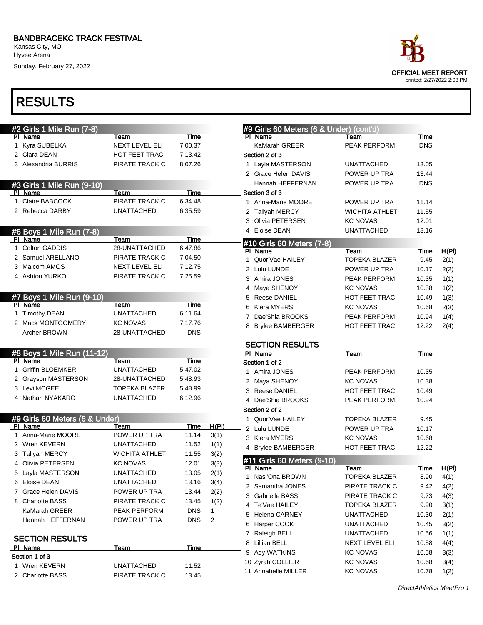Kansas City, MO Hyvee Arena

Sunday, February 27, 2022



|   | #2 Girls 1 Mile Run (7-8)      |                       |             |              |   | #9 Girls 60 Meters (6 & Under) (cont'd) |                       |             |       |
|---|--------------------------------|-----------------------|-------------|--------------|---|-----------------------------------------|-----------------------|-------------|-------|
|   | PI Name                        | Team                  | Time        |              |   | PI Name                                 | Team                  | Time        |       |
|   | 1 Kyra SUBELKA                 | <b>NEXT LEVEL ELI</b> | 7:00.37     |              |   | KaMarah GREER                           | PEAK PERFORM          | <b>DNS</b>  |       |
|   | 2 Clara DEAN                   | HOT FEET TRAC         | 7:13.42     |              |   | Section 2 of 3                          |                       |             |       |
|   | 3 Alexandria BURRIS            | PIRATE TRACK C        | 8:07.26     |              |   | 1 Layla MASTERSON                       | <b>UNATTACHED</b>     | 13.05       |       |
|   |                                |                       |             |              |   | 2 Grace Helen DAVIS                     | POWER UP TRA          | 13.44       |       |
|   | #3 Girls 1 Mile Run (9-10)     |                       |             |              |   | Hannah HEFFERNAN                        | POWER UP TRA          | <b>DNS</b>  |       |
|   | PI Name                        | Team                  | <b>Time</b> |              |   | Section 3 of 3                          |                       |             |       |
|   | 1 Claire BABCOCK               | PIRATE TRACK C        | 6:34.48     |              |   | 1 Anna-Marie MOORE                      | POWER UP TRA          | 11.14       |       |
|   | 2 Rebecca DARBY                | <b>UNATTACHED</b>     | 6:35.59     |              |   | 2 Taliyah MERCY                         | <b>WICHITA ATHLET</b> | 11.55       |       |
|   |                                |                       |             |              |   | 3 Olivia PETERSEN                       | <b>KC NOVAS</b>       | 12.01       |       |
|   | #6 Boys 1 Mile Run (7-8)       |                       |             |              | 4 | <b>Eloise DEAN</b>                      | <b>UNATTACHED</b>     | 13.16       |       |
|   | PI Name                        | Team                  | <b>Time</b> |              |   | #10 Girls 60 Meters (7-8)               |                       |             |       |
|   | 1 Colton GADDIS                | 28-UNATTACHED         | 6:47.86     |              |   | PI Name                                 | Team                  | Time        | H(PI) |
|   | 2 Samuel ARELLANO              | PIRATE TRACK C        | 7:04.50     |              |   | 1 Quor'Vae HAILEY                       | <b>TOPEKA BLAZER</b>  | 9.45        | 2(1)  |
|   | 3 Malcom AMOS                  | NEXT LEVEL ELI        | 7:12.75     |              |   | 2 Lulu LUNDE                            | POWER UP TRA          | 10.17       | 2(2)  |
|   | 4 Ashton YURKO                 | PIRATE TRACK C        | 7:25.59     |              |   | 3 Amira JONES                           | PEAK PERFORM          | 10.35       | 1(1)  |
|   |                                |                       |             |              |   | 4 Maya SHENOY                           | <b>KC NOVAS</b>       | 10.38       | 1(2)  |
|   | #7 Boys 1 Mile Run (9-10)      |                       |             |              |   | 5 Reese DANIEL                          | <b>HOT FEET TRAC</b>  | 10.49       | 1(3)  |
|   | PI Name                        | Team                  | <b>Time</b> |              |   | 6 Kiera MYERS                           | <b>KC NOVAS</b>       | 10.68       | 2(3)  |
|   | 1 Timothy DEAN                 | <b>UNATTACHED</b>     | 6:11.64     |              |   | 7 Dae'Shia BROOKS                       | <b>PEAK PERFORM</b>   | 10.94       | 1(4)  |
|   | 2 Mack MONTGOMERY              | <b>KC NOVAS</b>       | 7:17.76     |              |   | 8 Brylee BAMBERGER                      | <b>HOT FEET TRAC</b>  | 12.22       | 2(4)  |
|   | Archer BROWN                   | 28-UNATTACHED         | <b>DNS</b>  |              |   |                                         |                       |             |       |
|   |                                |                       |             |              |   | <b>SECTION RESULTS</b>                  |                       |             |       |
|   | #8 Boys 1 Mile Run (11-12)     |                       |             |              |   | PI Name                                 | Team                  | Time        |       |
|   | PI Name                        | Team                  | <b>Time</b> |              |   | Section 1 of 2                          |                       |             |       |
|   | 1 Griffin BLOEMKER             | <b>UNATTACHED</b>     | 5:47.02     |              |   | 1 Amira JONES                           | <b>PEAK PERFORM</b>   | 10.35       |       |
|   | 2 Grayson MASTERSON            | 28-UNATTACHED         | 5:48.93     |              |   | 2 Maya SHENOY                           | <b>KC NOVAS</b>       | 10.38       |       |
|   | 3 Levi MCGEE                   | <b>TOPEKA BLAZER</b>  | 5:48.99     |              |   | 3 Reese DANIEL                          | HOT FEET TRAC         | 10.49       |       |
|   | 4 Nathan NYAKARO               | <b>UNATTACHED</b>     | 6:12.96     |              |   | 4 Dae'Shia BROOKS                       | PEAK PERFORM          | 10.94       |       |
|   |                                |                       |             |              |   | Section 2 of 2                          |                       |             |       |
|   | #9 Girls 60 Meters (6 & Under) |                       |             |              |   | 1 Quor'Vae HAILEY                       | <b>TOPEKA BLAZER</b>  | 9.45        |       |
|   | PI Name                        | Team                  | Time        | H(PI)        |   | 2 Lulu LUNDE                            | POWER UP TRA          | 10.17       |       |
|   | 1 Anna-Marie MOORE             | POWER UP TRA          | 11.14       | 3(1)         |   | 3 Kiera MYERS                           | <b>KC NOVAS</b>       | 10.68       |       |
|   | 2 Wren KEVERN                  | <b>UNATTACHED</b>     | 11.52       | 1(1)         |   | 4 Brylee BAMBERGER                      | HOT FEET TRAC         | 12.22       |       |
|   | 3 Taliyah MERCY                | <b>WICHITA ATHLET</b> | 11.55       | 3(2)         |   |                                         |                       |             |       |
| 4 | Olivia PETERSEN                | <b>KC NOVAS</b>       | 12.01       | 3(3)         |   | #11 Girls 60 Meters (9-10)<br>PI Name   | Team                  | <u>Time</u> | H(PI) |
|   | 5 Layla MASTERSON              | <b>UNATTACHED</b>     | 13.05       | 2(1)         |   | 1 Nasi'Ona BROWN                        | <b>TOPEKA BLAZER</b>  | 8.90        | 4(1)  |
|   | 6 Eloise DEAN                  | <b>UNATTACHED</b>     | 13.16       | 3(4)         |   | 2 Samantha JONES                        | PIRATE TRACK C        | 9.42        | 4(2)  |
|   | 7 Grace Helen DAVIS            | POWER UP TRA          | 13.44       | 2(2)         |   | 3 Gabrielle BASS                        | PIRATE TRACK C        | 9.73        | 4(3)  |
|   | 8 Charlotte BASS               | PIRATE TRACK C        | 13.45       | 1(2)         |   | 4 Te'Vae HAILEY                         | TOPEKA BLAZER         | 9.90        | 3(1)  |
|   | KaMarah GREER                  | PEAK PERFORM          | <b>DNS</b>  | $\mathbf{1}$ |   | 5 Helena CARNEY                         | <b>UNATTACHED</b>     | 10.30       | 2(1)  |
|   | Hannah HEFFERNAN               | POWER UP TRA          | <b>DNS</b>  | 2            |   | 6 Harper COOK                           | <b>UNATTACHED</b>     | 10.45       | 3(2)  |
|   |                                |                       |             |              |   | 7 Raleigh BELL                          | <b>UNATTACHED</b>     | 10.56       | 1(1)  |
|   | <b>SECTION RESULTS</b>         |                       |             |              |   | 8 Lillian BELL                          | NEXT LEVEL ELI        | 10.58       |       |
|   | PI Name                        | Team                  | Time        |              |   | 9 Ady WATKINS                           | <b>KC NOVAS</b>       |             | 4(4)  |
|   | Section 1 of 3                 |                       |             |              |   |                                         | <b>KC NOVAS</b>       | 10.58       | 3(3)  |
|   | 1 Wren KEVERN                  | <b>UNATTACHED</b>     | 11.52       |              |   | 10 Zyrah COLLIER                        |                       | 10.68       | 3(4)  |
|   | 2 Charlotte BASS               | PIRATE TRACK C        | 13.45       |              |   | 11 Annabelle MILLER                     | <b>KC NOVAS</b>       | 10.78       | 1(2)  |
|   |                                |                       |             |              |   |                                         |                       |             |       |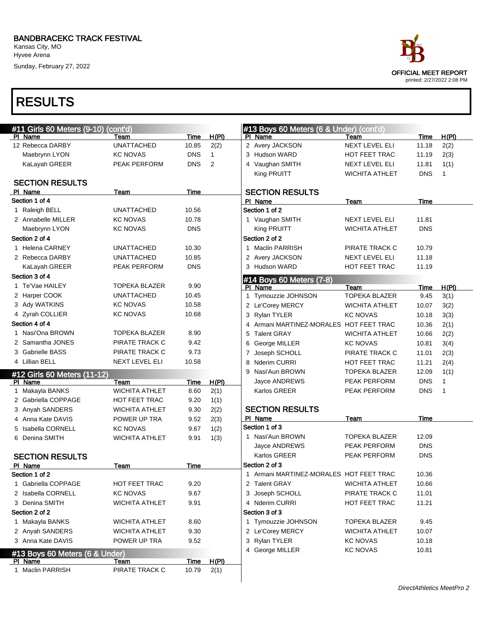Kansas City, MO Hyvee Arena

Sunday, February 27, 2022

| #11 Girls 60 Meters (9-10) (cont'd)       |                       |             |              | #13 Boys 60 Meters (6 & Under) (cont'd) |                       |            |              |
|-------------------------------------------|-----------------------|-------------|--------------|-----------------------------------------|-----------------------|------------|--------------|
| PI Name                                   | Team                  | Time        | H(PI)        | PI Name                                 | Team                  | Time       | H(PI)        |
| 12 Rebecca DARBY                          | <b>UNATTACHED</b>     | 10.85       | 2(2)         | 2 Avery JACKSON                         | <b>NEXT LEVEL ELI</b> | 11.18      | 2(2)         |
| Maebrynn LYON                             | <b>KC NOVAS</b>       | <b>DNS</b>  | $\mathbf{1}$ | 3 Hudson WARD                           | HOT FEET TRAC         | 11.19      | 2(3)         |
| KaLayah GREER                             | PEAK PERFORM          | <b>DNS</b>  | 2            | 4 Vaughan SMITH                         | NEXT LEVEL ELI        | 11.81      | 1(1)         |
|                                           |                       |             |              | King PRUITT                             | <b>WICHITA ATHLET</b> | <b>DNS</b> | $\mathbf{1}$ |
| <b>SECTION RESULTS</b>                    |                       |             |              |                                         |                       |            |              |
| PI Name<br>Section 1 of 4                 | Team                  | Time        |              | <b>SECTION RESULTS</b>                  |                       |            |              |
|                                           | <b>UNATTACHED</b>     | 10.56       |              | PI Name<br>Section 1 of 2               | Team                  | Time       |              |
| 1 Raleigh BELL                            |                       |             |              |                                         |                       |            |              |
| 2 Annabelle MILLER                        | <b>KC NOVAS</b>       | 10.78       |              | 1 Vaughan SMITH                         | NEXT LEVEL ELI        | 11.81      |              |
| Maebrynn LYON                             | <b>KC NOVAS</b>       | <b>DNS</b>  |              | King PRUITT                             | <b>WICHITA ATHLET</b> | <b>DNS</b> |              |
| Section 2 of 4                            |                       |             |              | Section 2 of 2                          |                       |            |              |
| 1 Helena CARNEY                           | <b>UNATTACHED</b>     | 10.30       |              | 1 Maclin PARRISH                        | PIRATE TRACK C        | 10.79      |              |
| 2 Rebecca DARBY                           | <b>UNATTACHED</b>     | 10.85       |              | 2 Avery JACKSON                         | NEXT LEVEL ELI        | 11.18      |              |
| KaLayah GREER                             | PEAK PERFORM          | <b>DNS</b>  |              | 3 Hudson WARD                           | HOT FEET TRAC         | 11.19      |              |
| Section 3 of 4                            |                       |             |              | #14 Boys 60 Meters (7-8)                |                       |            |              |
| 1 Te'Vae HAILEY                           | <b>TOPEKA BLAZER</b>  | 9.90        |              | PI Name                                 | Team                  | Time       | H(PI)        |
| 2 Harper COOK                             | <b>UNATTACHED</b>     | 10.45       |              | 1 Tymouzzie JOHNSON                     | <b>TOPEKA BLAZER</b>  | 9.45       | 3(1)         |
| 3 Ady WATKINS                             | <b>KC NOVAS</b>       | 10.58       |              | 2 Le'Corey MERCY                        | WICHITA ATHLET        | 10.07      | 3(2)         |
| 4 Zyrah COLLIER                           | <b>KC NOVAS</b>       | 10.68       |              | 3 Rylan TYLER                           | <b>KC NOVAS</b>       | 10.18      | 3(3)         |
| Section 4 of 4                            |                       |             |              | 4 Armani MARTINEZ-MORALES HOT FEET TRAC |                       | 10.36      | 2(1)         |
| 1 Nasi'Ona BROWN                          | <b>TOPEKA BLAZER</b>  | 8.90        |              | 5 Talent GRAY                           | WICHITA ATHLET        | 10.66      | 2(2)         |
| 2 Samantha JONES                          | PIRATE TRACK C        | 9.42        |              | 6 George MILLER                         | <b>KC NOVAS</b>       | 10.81      | 3(4)         |
| 3 Gabrielle BASS                          | PIRATE TRACK C        | 9.73        |              | 7 Joseph SCHOLL                         | PIRATE TRACK C        | 11.01      | 2(3)         |
| 4 Lillian BELL                            | NEXT LEVEL ELI        | 10.58       |              | 8 Nderim CURRI                          | HOT FEET TRAC         | 11.21      | 2(4)         |
|                                           |                       |             |              | 9 Nasi'Aun BROWN                        | <b>TOPEKA BLAZER</b>  | 12.09      | 1(1)         |
| #12 Girls 60 Meters (11-12)<br>PI Name    | Team                  | Time        | H(PI)        | Jayce ANDREWS                           | PEAK PERFORM          | <b>DNS</b> | $\mathbf{1}$ |
| 1 Makayla BANKS                           | <b>WICHITA ATHLET</b> | 8.60        | 2(1)         | Karlos GREER                            | PEAK PERFORM          | <b>DNS</b> | $\mathbf{1}$ |
| 2 Gabriella COPPAGE                       | HOT FEET TRAC         | 9.20        | 1(1)         |                                         |                       |            |              |
| 3 Anyah SANDERS                           | <b>WICHITA ATHLET</b> | 9.30        | 2(2)         | <b>SECTION RESULTS</b>                  |                       |            |              |
| 4 Anna Kate DAVIS                         | POWER UP TRA          | 9.52        | 2(3)         | PI Name                                 | Team                  | Time       |              |
| 5 Isabella CORNELL                        | <b>KC NOVAS</b>       | 9.67        | 1(2)         | Section 1 of 3                          |                       |            |              |
| 6 Denina SMITH                            | <b>WICHITA ATHLET</b> | 9.91        | 1(3)         | 1 Nasi'Aun BROWN                        | TOPEKA BLAZER         | 12.09      |              |
|                                           |                       |             |              | Jayce ANDREWS                           | PEAK PERFORM          | <b>DNS</b> |              |
| <b>SECTION RESULTS</b>                    |                       |             |              | Karlos GREER                            | <b>PEAK PERFORM</b>   | <b>DNS</b> |              |
|                                           |                       |             |              | Section 2 of 3                          |                       |            |              |
| PI Name<br>Section 1 of 2                 | <b>Team</b>           | Time        |              | 1 Armani MARTINEZ-MORALES HOT FEET TRAC |                       | 10.36      |              |
| 1 Gabriella COPPAGE                       |                       |             |              | 2 Talent GRAY                           |                       | 10.66      |              |
|                                           | <b>HOT FEET TRAC</b>  | 9.20        |              |                                         | WICHITA ATHLET        |            |              |
| 2 Isabella CORNELL                        | <b>KC NOVAS</b>       | 9.67        |              | 3 Joseph SCHOLL                         | PIRATE TRACK C        | 11.01      |              |
| 3 Denina SMITH                            | <b>WICHITA ATHLET</b> | 9.91        |              | 4 Nderim CURRI                          | HOT FEET TRAC         | 11.21      |              |
| Section 2 of 2                            |                       |             |              | Section 3 of 3                          |                       |            |              |
| 1 Makayla BANKS                           | <b>WICHITA ATHLET</b> | 8.60        |              | 1 Tymouzzie JOHNSON                     | <b>TOPEKA BLAZER</b>  | 9.45       |              |
| 2 Anyah SANDERS                           | <b>WICHITA ATHLET</b> | 9.30        |              | 2 Le'Corey MERCY                        | WICHITA ATHLET        | 10.07      |              |
| 3 Anna Kate DAVIS                         | POWER UP TRA          | 9.52        |              | 3 Rylan TYLER                           | <b>KC NOVAS</b>       | 10.18      |              |
|                                           |                       |             |              | 4 George MILLER                         | <b>KC NOVAS</b>       | 10.81      |              |
|                                           |                       |             |              |                                         |                       |            |              |
| #13 Boys 60 Meters (6 & Under)<br>PI Name | Team                  | <u>Time</u> | <u>H(PI)</u> |                                         |                       |            |              |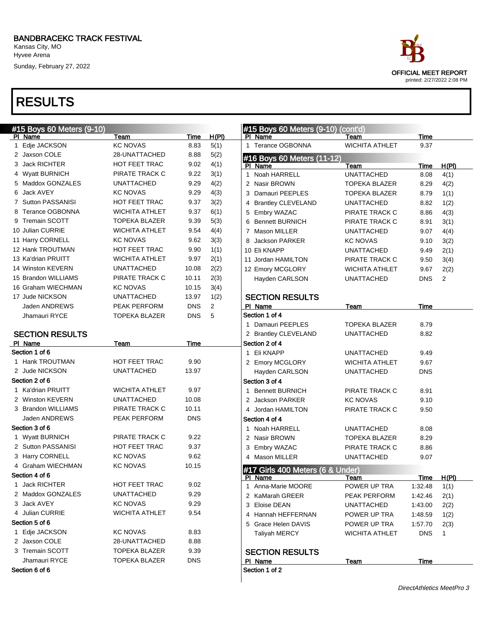PI Name Team Team Time H(PI) 1 Edje JACKSON KC NOVAS 8.83 5(1) 2 Jaxson COLE 28-UNATTACHED 8.88 5(2) 3 Jack RICHTER HOT FEET TRAC 9.02 4(1) 4 Wyatt BURNICH PIRATE TRACK C 9.22 3(1) 5 Maddox GONZALES UNATTACHED 9.29 4(2) 6 Jack AVEY KC NOVAS 9.29 4(3) 7 Sutton PASSANISI HOT FEET TRAC 9.37 3(2) 8 Terance OGBONNA WICHITA ATHLET 9.37 6(1) 9 Tremain SCOTT TOPEKA BLAZER 9.39 5(3) 10 Julian CURRIE WICHITA ATHLET 9.54 4(4) 11 Harry CORNELL KC NOVAS 9.62 3(3) 12 Hank TROUTMAN HOT FEET TRAC 9.90 1(1) 13 Ka'drian PRUITT WICHITA ATHLET 9.97 2(1) 14 Winston KEVERN UNATTACHED 10.08 2(2) 15 Brandon WILLIAMS PIRATE TRACK C 10.11 2(3) 16 Graham WIECHMAN KC NOVAS 10.15 3(4) 17 Jude NICKSON UNATTACHED 13.97 1(2) Jaden ANDREWS PEAK PERFORM DNS 2 Jhamauri RYCE TOPEKA BLAZER DNS 5

PI Name Team Team Time

1 Hank TROUTMAN HOT FEET TRAC 9.90 2 Jude NICKSON UNATTACHED 13.97

1 Ka'drian PRUITT WICHITA ATHLET 9.97 2 Winston KEVERN UNATTACHED 10.08 3 Brandon WILLIAMS PIRATE TRACK C 10.11 Jaden ANDREWS PEAK PERFORM DNS

1 Wyatt BURNICH PIRATE TRACK C 9.22 2 Sutton PASSANISI HOT FEET TRAC 9.37 3 Harry CORNELL KC NOVAS 9.62 4 Graham WIECHMAN KC NOVAS 10.15

1 Jack RICHTER HOT FEET TRAC 9.02 2 Maddox GONZALES UNATTACHED 9.29 3 Jack AVEY KC NOVAS 9.29 4 Julian CURRIE WICHITA ATHLET 9.54

1 Edje JACKSON KC NOVAS 8.83 2 Jaxson COLE 28-UNATTACHED 8.88 3 Tremain SCOTT TOPEKA BLAZER 9.39 Jhamauri RYCE TOPEKA BLAZER DNS

Kansas City, MO Hyvee Arena Sunday, February 27, 2022

### RESULTS

#15 Boys 60 Meters (9-10)

SECTION RESULTS

Section 1 of 6

Section 2 of 6

Section 3 of 6

Section 4 of 6

Section 5 of 6

|    | #15 Boys 60 Meters (9-10) (cont'd)          |                                |             |              |
|----|---------------------------------------------|--------------------------------|-------------|--------------|
|    | Name                                        | Team                           | <b>Time</b> |              |
| 1  | <b>Terance OGBONNA</b>                      | <b>WICHITA ATHLET</b>          | 9.37        |              |
|    | #16 Boys 60 Meters (11-12)                  |                                |             |              |
|    | PI Name                                     | Team                           | Time        | <u>H(PI)</u> |
| 1. | Noah HARRELL                                | <b>UNATTACHED</b>              | 8.08        | 4(1)         |
|    | 2 Nasir BROWN                               | TOPEKA BLAZER                  | 8.29        | 4(2)         |
|    | 3 Damauri PEEPLES                           | <b>TOPEKA BLAZER</b>           | 8.79        | 1(1)         |
|    | 4 Brantley CLEVELAND                        | <b>UNATTACHED</b>              | 8.82        | 1(2)         |
|    | 5 Embry WAZAC                               | PIRATE TRACK C                 | 8.86        | 4(3)         |
|    | 6 Bennett BURNICH                           | PIRATE TRACK C                 | 8.91        | 3(1)         |
|    | 7 Mason MILLER                              | <b>UNATTACHED</b>              | 9.07        | 4(4)         |
|    | 8 Jackson PARKER                            | <b>KC NOVAS</b>                | 9.10        | 3(2)         |
|    | 10 Eli KNAPP                                | <b>UNATTACHED</b>              | 9.49        | 2(1)         |
|    | 11 Jordan HAMILTON                          | PIRATE TRACK C                 | 9.50        | 3(4)         |
|    | 12 Emory MCGLORY                            | <b>WICHITA ATHLET</b>          | 9.67        | 2(2)         |
|    | Hayden CARLSON                              | <b>UNATTACHED</b>              | <b>DNS</b>  | 2            |
|    |                                             |                                |             |              |
|    | <b>SECTION RESULTS</b>                      |                                |             |              |
|    | PI Name                                     | Team                           | Time        |              |
|    | Section 1 of 4                              |                                |             |              |
|    | 1 Damauri PEEPLES                           | <b>TOPEKA BLAZER</b>           | 8.79        |              |
|    | 2 Brantley CLEVELAND                        | <b>UNATTACHED</b>              | 8.82        |              |
|    | Section 2 of 4                              |                                |             |              |
|    | 1 Eli KNAPP                                 | <b>UNATTACHED</b>              | 9.49        |              |
|    | 2 Emory MCGLORY                             | <b>WICHITA ATHLET</b>          | 9.67        |              |
|    | Hayden CARLSON                              | <b>UNATTACHED</b>              | <b>DNS</b>  |              |
|    | Section 3 of 4                              |                                |             |              |
|    | 1 Bennett BURNICH                           | PIRATE TRACK C                 | 8.91        |              |
|    | 2 Jackson PARKER                            | <b>KC NOVAS</b>                | 9.10        |              |
|    | 4 Jordan HAMILTON                           | PIRATE TRACK C                 | 9.50        |              |
|    | Section 4 of 4                              |                                |             |              |
|    | 1 Noah HARRELL                              | UNATTACHED                     | 8.08        |              |
|    | 2 Nasir BROWN                               | <b>TOPEKA BLAZER</b>           | 8.29        |              |
|    | 3 Embry WAZAC                               | PIRATE TRACK C                 | 8.86        |              |
|    |                                             |                                | 9.07        |              |
|    |                                             |                                |             |              |
|    | 4 Mason MILLER                              | UNATTACHED                     |             |              |
|    | #17 Girls 400 Meters (6 & Under)            |                                |             |              |
|    | <u>PI Name</u>                              | Team                           | <u>Time</u> | <u>H(PI)</u> |
| 1  | Anna-Marie MOORE                            | POWER UP TRA                   | 1:32.48     | 1(1)         |
|    | 2 KaMarah GREER                             | PEAK PERFORM                   | 1:42.46     | 2(1)         |
|    | 3 Eloise DEAN                               | UNATTACHED                     | 1:43.00     | 2(2)         |
|    | 4 Hannah HEFFERNAN                          | POWER UP TRA                   | 1:48.59     | 1(2)         |
|    | 5 Grace Helen DAVIS<br><b>Taliyah MERCY</b> | POWER UP TRA<br>WICHITA ATHLET | 1:57.70     | 2(3)<br>1    |

### SECTION RESULTS

PI Name Team Team Team Time Section 1 of 2



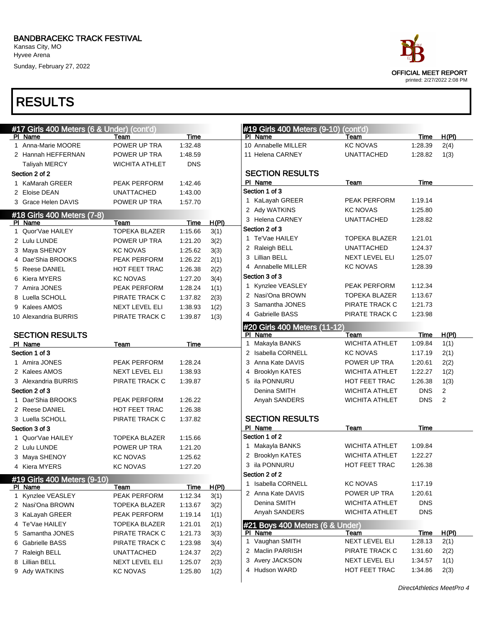Kansas City, MO Hyvee Arena

Sunday, February 27, 2022

### RESULTS

| #17 Girls 400 Meters (6 & Under) (cont'd) |                       |             |       | #19 Girls 400 Meters (9-10) (cont'd) |                       |             |                |
|-------------------------------------------|-----------------------|-------------|-------|--------------------------------------|-----------------------|-------------|----------------|
| PI Name                                   | Team                  | Time        |       | PI Name                              | Team                  | Time        | H(PI)          |
| 1 Anna-Marie MOORE                        | POWER UP TRA          | 1:32.48     |       | 10 Annabelle MILLER                  | <b>KC NOVAS</b>       | 1:28.39     | 2(4)           |
| 2 Hannah HEFFERNAN                        | POWER UP TRA          | 1:48.59     |       | 11 Helena CARNEY                     | <b>UNATTACHED</b>     | 1:28.82     | 1(3)           |
| Taliyah MERCY                             | <b>WICHITA ATHLET</b> | <b>DNS</b>  |       |                                      |                       |             |                |
| Section 2 of 2                            |                       |             |       | <b>SECTION RESULTS</b>               |                       |             |                |
| 1 KaMarah GREER                           | PEAK PERFORM          | 1:42.46     |       | PI Name                              | Team                  | Time        |                |
| 2 Eloise DEAN                             | <b>UNATTACHED</b>     | 1:43.00     |       | Section 1 of 3                       |                       |             |                |
| 3 Grace Helen DAVIS                       | POWER UP TRA          | 1:57.70     |       | 1 KaLayah GREER                      | PEAK PERFORM          | 1:19.14     |                |
| #18 Girls 400 Meters (7-8)                |                       |             |       | 2 Ady WATKINS                        | <b>KC NOVAS</b>       | 1:25.80     |                |
| PI Name                                   | Team                  | Time        | H(PI) | 3 Helena CARNEY                      | <b>UNATTACHED</b>     | 1:28.82     |                |
| 1 Quor'Vae HAILEY                         | <b>TOPEKA BLAZER</b>  | 1:15.66     | 3(1)  | Section 2 of 3                       |                       |             |                |
| 2 Lulu LUNDE                              | POWER UP TRA          | 1:21.20     | 3(2)  | 1 Te'Vae HAILEY                      | <b>TOPEKA BLAZER</b>  | 1:21.01     |                |
| 3 Maya SHENOY                             | <b>KC NOVAS</b>       | 1:25.62     | 3(3)  | 2 Raleigh BELL                       | <b>UNATTACHED</b>     | 1:24.37     |                |
| 4 Dae'Shia BROOKS                         | PEAK PERFORM          | 1:26.22     | 2(1)  | 3 Lillian BELL                       | NEXT LEVEL ELI        | 1:25.07     |                |
| 5 Reese DANIEL                            | HOT FEET TRAC         | 1:26.38     | 2(2)  | 4 Annabelle MILLER                   | <b>KC NOVAS</b>       | 1:28.39     |                |
| 6 Kiera MYERS                             | <b>KC NOVAS</b>       | 1:27.20     | 3(4)  | Section 3 of 3                       |                       |             |                |
| 7 Amira JONES                             | PEAK PERFORM          | 1:28.24     | 1(1)  | 1 Kynzlee VEASLEY                    | PEAK PERFORM          | 1:12.34     |                |
| 8 Luella SCHOLL                           | PIRATE TRACK C        | 1:37.82     | 2(3)  | 2 Nasi'Ona BROWN                     | <b>TOPEKA BLAZER</b>  | 1:13.67     |                |
| 9 Kalees AMOS                             | NEXT LEVEL ELI        | 1:38.93     | 1(2)  | 3 Samantha JONES                     | PIRATE TRACK C        | 1:21.73     |                |
| 10 Alexandria BURRIS                      | PIRATE TRACK C        | 1:39.87     | 1(3)  | 4 Gabrielle BASS                     | PIRATE TRACK C        | 1:23.98     |                |
|                                           |                       |             |       | #20 Girls 400 Meters (11-12)         |                       |             |                |
| <b>SECTION RESULTS</b>                    |                       |             |       | PI Name                              | Team                  | Time        | H(PI)          |
| PI Name                                   | Team                  | Time        |       | 1 Makayla BANKS                      | <b>WICHITA ATHLET</b> | 1:09.84     | 1(1)           |
| Section 1 of 3                            |                       |             |       | 2 Isabella CORNELL                   | <b>KC NOVAS</b>       | 1:17.19     | 2(1)           |
| 1 Amira JONES                             | PEAK PERFORM          | 1:28.24     |       | 3 Anna Kate DAVIS                    | POWER UP TRA          | 1:20.61     | 2(2)           |
| 2 Kalees AMOS                             | NEXT LEVEL ELI        | 1:38.93     |       | 4 Brooklyn KATES                     | <b>WICHITA ATHLET</b> | 1:22.27     | 1(2)           |
| 3 Alexandria BURRIS                       | PIRATE TRACK C        | 1:39.87     |       | 5 ila PONNURU                        | HOT FEET TRAC         | 1:26.38     | 1(3)           |
| Section 2 of 3                            |                       |             |       | Denina SMITH                         | <b>WICHITA ATHLET</b> | <b>DNS</b>  | $\overline{2}$ |
| 1 Dae'Shia BROOKS                         | PEAK PERFORM          | 1:26.22     |       | Anyah SANDERS                        | <b>WICHITA ATHLET</b> | <b>DNS</b>  | 2              |
| 2 Reese DANIEL                            | HOT FEET TRAC         | 1:26.38     |       |                                      |                       |             |                |
| 3 Luella SCHOLL                           | PIRATE TRACK C        | 1:37.82     |       | <b>SECTION RESULTS</b>               |                       |             |                |
| Section 3 of 3                            |                       |             |       | PI Name                              | Team                  | <b>Time</b> |                |
| 1 Quor'Vae HAILEY                         | TOPEKA BLAZER         | 1:15.66     |       | Section 1 of 2                       |                       |             |                |
| 2 Lulu LUNDE                              | POWER UP TRA          | 1:21.20     |       | 1 Makayla BANKS                      | <b>WICHITA ATHLET</b> | 1:09.84     |                |
| 3 Maya SHENOY                             | <b>KC NOVAS</b>       | 1:25.62     |       | 2 Brooklyn KATES                     | <b>WICHITA ATHLET</b> | 1:22.27     |                |
| 4 Kiera MYERS                             | <b>KC NOVAS</b>       | 1:27.20     |       | 3 ila PONNURU                        | <b>HOT FEET TRAC</b>  | 1:26.38     |                |
| #19 Girls 400 Meters (9-10)               |                       |             |       | Section 2 of 2                       |                       |             |                |
| PI Name                                   | Team                  | <b>Time</b> | H(PI) | 1 Isabella CORNELL                   | <b>KC NOVAS</b>       | 1:17.19     |                |
| 1 Kynzlee VEASLEY                         | PEAK PERFORM          | 1:12.34     | 3(1)  | 2 Anna Kate DAVIS                    | POWER UP TRA          | 1:20.61     |                |
| 2 Nasi'Ona BROWN                          | <b>TOPEKA BLAZER</b>  | 1:13.67     | 3(2)  | Denina SMITH                         | <b>WICHITA ATHLET</b> | <b>DNS</b>  |                |
| 3 KaLayah GREER                           | PEAK PERFORM          | 1:19.14     | 1(1)  | Anyah SANDERS                        | <b>WICHITA ATHLET</b> | <b>DNS</b>  |                |
| 4 Te'Vae HAILEY                           | <b>TOPEKA BLAZER</b>  | 1:21.01     | 2(1)  | #21 Boys 400 Meters (6 & Under)      |                       |             |                |
| 5 Samantha JONES                          | PIRATE TRACK C        | 1:21.73     | 3(3)  | PI Name                              | Team                  | Time        | <u>H(PI)</u>   |
| 6 Gabrielle BASS                          | PIRATE TRACK C        | 1:23.98     | 3(4)  | 1 Vaughan SMITH                      | NEXT LEVEL ELI        | 1:28.13     | 2(1)           |
| 7 Raleigh BELL                            | <b>UNATTACHED</b>     | 1:24.37     | 2(2)  | 2 Maclin PARRISH                     | PIRATE TRACK C        | 1:31.60     | 2(2)           |
| 8 Lillian BELL                            | <b>NEXT LEVEL ELI</b> | 1:25.07     | 2(3)  | 3 Avery JACKSON                      | NEXT LEVEL ELI        | 1:34.57     | 1(1)           |
| 9 Ady WATKINS                             | <b>KC NOVAS</b>       | 1:25.80     | 1(2)  | 4 Hudson WARD                        | HOT FEET TRAC         | 1:34.86     | 2(3)           |
|                                           |                       |             |       |                                      |                       |             |                |

DirectAthletics MeetPro 4

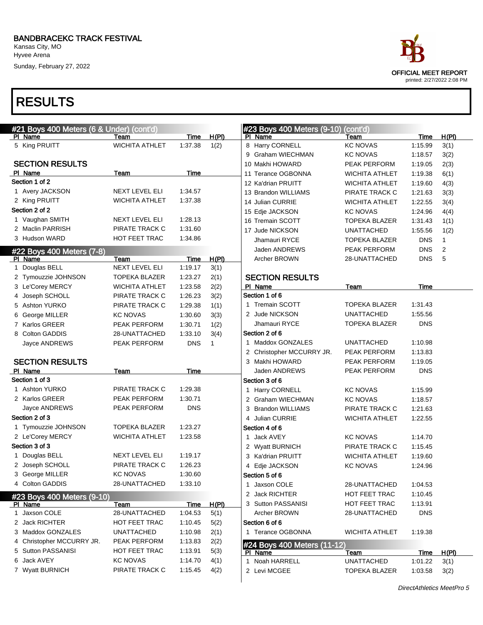Sunday, February 27, 2022

| #21 Boys 400 Meters (6 & Under) (cont'd) |                       |             |              |   | #23 Boys 400 Meters (9-10)  | (cont'd)              |             |       |
|------------------------------------------|-----------------------|-------------|--------------|---|-----------------------------|-----------------------|-------------|-------|
| PI Name                                  | Team                  | <b>Time</b> | H(PI)        |   | PI Name                     | Team                  | Time        | H(PI) |
| 5 King PRUITT                            | <b>WICHITA ATHLET</b> | 1:37.38     | 1(2)         |   | 8 Harry CORNELL             | <b>KC NOVAS</b>       | 1:15.99     | 3(1)  |
|                                          |                       |             |              |   | 9 Graham WIECHMAN           | <b>KC NOVAS</b>       | 1:18.57     | 3(2)  |
| <b>SECTION RESULTS</b>                   |                       |             |              |   | 10 Makhi HOWARD             | PEAK PERFORM          | 1:19.05     | 2(3)  |
| PI Name                                  | Team                  | Time        |              |   | 11 Terance OGBONNA          | <b>WICHITA ATHLET</b> | 1:19.38     | 6(1)  |
| Section 1 of 2                           |                       |             |              |   | 12 Ka'drian PRUITT          | <b>WICHITA ATHLET</b> | 1:19.60     | 4(3)  |
| 1 Avery JACKSON                          | <b>NEXT LEVEL ELI</b> | 1:34.57     |              |   | 13 Brandon WILLIAMS         | PIRATE TRACK C        | 1:21.63     | 3(3)  |
| 2 King PRUITT                            | <b>WICHITA ATHLET</b> | 1:37.38     |              |   | 14 Julian CURRIE            | <b>WICHITA ATHLET</b> | 1:22.55     | 3(4)  |
| Section 2 of 2                           |                       |             |              |   | 15 Edje JACKSON             | <b>KC NOVAS</b>       | 1:24.96     | 4(4)  |
| 1 Vaughan SMITH                          | <b>NEXT LEVEL ELI</b> | 1:28.13     |              |   | 16 Tremain SCOTT            | <b>TOPEKA BLAZER</b>  | 1:31.43     | 1(1)  |
| 2 Maclin PARRISH                         | PIRATE TRACK C        | 1:31.60     |              |   | 17 Jude NICKSON             | <b>UNATTACHED</b>     | 1:55.56     | 1(2)  |
| 3 Hudson WARD                            | HOT FEET TRAC         | 1:34.86     |              |   | Jhamauri RYCE               | <b>TOPEKA BLAZER</b>  | <b>DNS</b>  | 1     |
|                                          |                       |             |              |   | Jaden ANDREWS               | PEAK PERFORM          | <b>DNS</b>  | 2     |
| #22 Boys 400 Meters (7-8)<br>PI Name     | Team                  | Time        | H(PI)        |   | Archer BROWN                | 28-UNATTACHED         | <b>DNS</b>  | 5     |
| 1 Douglas BELL                           | <b>NEXT LEVEL ELI</b> | 1:19.17     | 3(1)         |   |                             |                       |             |       |
| 2 Tymouzzie JOHNSON                      | TOPEKA BLAZER         | 1:23.27     | 2(1)         |   | <b>SECTION RESULTS</b>      |                       |             |       |
| 3 Le'Corey MERCY                         | <b>WICHITA ATHLET</b> | 1:23.58     | 2(2)         |   | PI Name                     | <b>Team</b>           | Time        |       |
| 4 Joseph SCHOLL                          | PIRATE TRACK C        | 1:26.23     | 3(2)         |   | Section 1 of 6              |                       |             |       |
| 5 Ashton YURKO                           | PIRATE TRACK C        | 1:29.38     | 1(1)         |   | 1 Tremain SCOTT             | <b>TOPEKA BLAZER</b>  | 1:31.43     |       |
|                                          | <b>KC NOVAS</b>       | 1:30.60     |              |   | 2 Jude NICKSON              | <b>UNATTACHED</b>     | 1:55.56     |       |
| 6 George MILLER<br>7 Karlos GREER        |                       |             | 3(3)         |   | Jhamauri RYCE               | <b>TOPEKA BLAZER</b>  | <b>DNS</b>  |       |
|                                          | PEAK PERFORM          | 1:30.71     | 1(2)         |   | Section 2 of 6              |                       |             |       |
| 8 Colton GADDIS                          | 28-UNATTACHED         | 1:33.10     | 3(4)         |   | 1 Maddox GONZALES           | <b>UNATTACHED</b>     | 1:10.98     |       |
| Jayce ANDREWS                            | PEAK PERFORM          | <b>DNS</b>  | $\mathbf{1}$ |   | 2 Christopher MCCURRY JR.   | PEAK PERFORM          | 1:13.83     |       |
|                                          |                       |             |              |   |                             |                       |             |       |
| <b>SECTION RESULTS</b>                   |                       |             |              |   | 3 Makhi HOWARD              | PEAK PERFORM          | 1:19.05     |       |
| PI Name<br>Section 1 of 3                | Team                  | Time        |              |   | Jaden ANDREWS               | PEAK PERFORM          | <b>DNS</b>  |       |
|                                          |                       |             |              |   | Section 3 of 6              |                       |             |       |
| 1 Ashton YURKO                           | PIRATE TRACK C        | 1:29.38     |              |   | 1 Harry CORNELL             | <b>KC NOVAS</b>       | 1:15.99     |       |
| 2 Karlos GREER                           | PEAK PERFORM          | 1:30.71     |              |   | 2 Graham WIECHMAN           | <b>KC NOVAS</b>       | 1:18.57     |       |
| Jayce ANDREWS                            | PEAK PERFORM          | <b>DNS</b>  |              |   | 3 Brandon WILLIAMS          | PIRATE TRACK C        | 1:21.63     |       |
| Section 2 of 3                           |                       |             |              |   | 4 Julian CURRIE             | <b>WICHITA ATHLET</b> | 1:22.55     |       |
| 1 Tymouzzie JOHNSON                      | <b>TOPEKA BLAZER</b>  | 1:23.27     |              |   | Section 4 of 6              |                       |             |       |
| 2 Le'Corey MERCY                         | <b>WICHITA ATHLET</b> | 1:23.58     |              | 1 | Jack AVEY                   | <b>KC NOVAS</b>       | 1:14.70     |       |
| Section 3 of 3                           |                       |             |              |   | 2 Wyatt BURNICH             | PIRATE TRACK C        | 1:15.45     |       |
| 1 Douglas BELL                           | NEXT LEVEL ELI        | 1:19.17     |              |   | 3 Ka'drian PRUITT           | <b>WICHITA ATHLET</b> | 1:19.60     |       |
| 2 Joseph SCHOLL                          | PIRATE TRACK C        | 1:26.23     |              |   | 4 Edje JACKSON              | <b>KC NOVAS</b>       | 1:24.96     |       |
| 3 George MILLER                          | <b>KC NOVAS</b>       | 1:30.60     |              |   | Section 5 of 6              |                       |             |       |
| 4 Colton GADDIS                          | 28-UNATTACHED         | 1:33.10     |              |   | 1 Jaxson COLE               | 28-UNATTACHED         | 1:04.53     |       |
| #23 Boys 400 Meters (9-10)               |                       |             |              |   | 2 Jack RICHTER              | HOT FEET TRAC         | 1:10.45     |       |
| PI Name                                  | Team                  | Time        | H(PI)        |   | 3 Sutton PASSANISI          | HOT FEET TRAC         | 1:13.91     |       |
| 1 Jaxson COLE                            | 28-UNATTACHED         | 1:04.53     | 5(1)         |   | Archer BROWN                | 28-UNATTACHED         | <b>DNS</b>  |       |
| 2 Jack RICHTER                           | HOT FEET TRAC         | 1:10.45     | 5(2)         |   | Section 6 of 6              |                       |             |       |
| 3 Maddox GONZALES                        | <b>UNATTACHED</b>     | 1:10.98     | 2(1)         |   | 1 Terance OGBONNA           | <b>WICHITA ATHLET</b> | 1:19.38     |       |
| 4 Christopher MCCURRY JR.                | PEAK PERFORM          | 1:13.83     | 2(2)         |   | #24 Boys 400 Meters (11-12) |                       |             |       |
| 5 Sutton PASSANISI                       | HOT FEET TRAC         | 1:13.91     | 5(3)         |   | PI Name                     | <b>Team</b>           | <b>Time</b> | H(PI) |
| 6 Jack AVEY                              | <b>KC NOVAS</b>       | 1:14.70     | 4(1)         |   | 1 Noah HARRELL              | <b>UNATTACHED</b>     | 1:01.22     | 3(1)  |
| 7 Wyatt BURNICH                          | PIRATE TRACK C        | 1:15.45     | 4(2)         |   | 2 Levi MCGEE                | <b>TOPEKA BLAZER</b>  | 1:03.58     | 3(2)  |

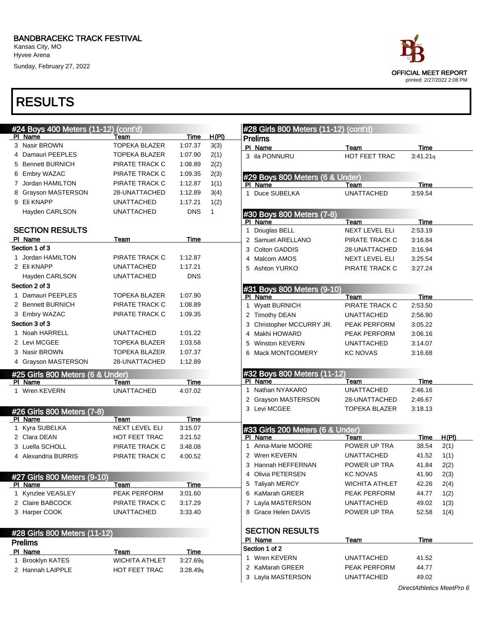Kansas City, MO Hyvee Arena

Sunday, February 27, 2022

| #28 Girls 800 Meters (11-12) (cont'd)<br>#24 Boys 400 Meters (11-12)<br>H(PI)<br>Time<br>PI Name<br>Team<br><b>Prelims</b><br>3 Nasir BROWN<br><b>TOPEKA BLAZER</b><br>1:07.37<br>3(3)<br>4 Damauri PEEPLES<br><b>TOPEKA BLAZER</b><br>1:07.90<br>2(1)<br>5 Bennett BURNICH<br>2(2)<br>PIRATE TRACK C<br>1:08.89<br>6 Embry WAZAC<br>2(3)<br>PIRATE TRACK C<br>1:09.35<br>7 Jordan HAMILTON<br>PIRATE TRACK C<br>1:12.87<br>1(1)<br><b>Grayson MASTERSON</b><br>28-UNATTACHED<br>1:12.89<br>3(4)<br>9 Eli KNAPP<br>1(2)<br><b>UNATTACHED</b><br>1:17.21<br><b>DNS</b><br>Hayden CARLSON<br><b>UNATTACHED</b><br>$\mathbf{1}$<br><b>SECTION RESULTS</b><br>1.<br><b>Time</b><br>PI Name<br>Team<br>Section 1 of 3 |
|------------------------------------------------------------------------------------------------------------------------------------------------------------------------------------------------------------------------------------------------------------------------------------------------------------------------------------------------------------------------------------------------------------------------------------------------------------------------------------------------------------------------------------------------------------------------------------------------------------------------------------------------------------------------------------------------------------------|
| PI Name<br>PI Name<br>PI Name                                                                                                                                                                                                                                                                                                                                                                                                                                                                                                                                                                                                                                                                                    |
| 3 ila PONNURU<br>1 Duce SUBELKA<br>Douglas BELL<br>3 Colton GADDIS                                                                                                                                                                                                                                                                                                                                                                                                                                                                                                                                                                                                                                               |
| 2 Samuel ARELLANO                                                                                                                                                                                                                                                                                                                                                                                                                                                                                                                                                                                                                                                                                                |
| #29 Boys 800 Meters (6 & Under)                                                                                                                                                                                                                                                                                                                                                                                                                                                                                                                                                                                                                                                                                  |
|                                                                                                                                                                                                                                                                                                                                                                                                                                                                                                                                                                                                                                                                                                                  |
|                                                                                                                                                                                                                                                                                                                                                                                                                                                                                                                                                                                                                                                                                                                  |
|                                                                                                                                                                                                                                                                                                                                                                                                                                                                                                                                                                                                                                                                                                                  |
| #30 Boys 800 Meters (7-8)                                                                                                                                                                                                                                                                                                                                                                                                                                                                                                                                                                                                                                                                                        |
|                                                                                                                                                                                                                                                                                                                                                                                                                                                                                                                                                                                                                                                                                                                  |
|                                                                                                                                                                                                                                                                                                                                                                                                                                                                                                                                                                                                                                                                                                                  |
|                                                                                                                                                                                                                                                                                                                                                                                                                                                                                                                                                                                                                                                                                                                  |
| 28-UNATTACHED                                                                                                                                                                                                                                                                                                                                                                                                                                                                                                                                                                                                                                                                                                    |
|                                                                                                                                                                                                                                                                                                                                                                                                                                                                                                                                                                                                                                                                                                                  |
| 1 Jordan HAMILTON<br>PIRATE TRACK C<br>1:12.87<br>Malcom AMOS<br>NEXT LEVEL ELI                                                                                                                                                                                                                                                                                                                                                                                                                                                                                                                                                                                                                                  |
| 2 Eli KNAPP<br>1:17.21<br><b>UNATTACHED</b><br>5 Ashton YURKO<br>PIRATE TRACK C                                                                                                                                                                                                                                                                                                                                                                                                                                                                                                                                                                                                                                  |
| Hayden CARLSON<br><b>UNATTACHED</b><br><b>DNS</b>                                                                                                                                                                                                                                                                                                                                                                                                                                                                                                                                                                                                                                                                |
| Section 2 of 3                                                                                                                                                                                                                                                                                                                                                                                                                                                                                                                                                                                                                                                                                                   |
| #31 Boys 800 Meters (9-10)<br>1 Damauri PEEPLES<br>TOPEKA BLAZER<br>1:07.90<br>PI Name<br>Team                                                                                                                                                                                                                                                                                                                                                                                                                                                                                                                                                                                                                   |
| PIRATE TRACK C<br>2 Bennett BURNICH<br>1:08.89<br>1 Wyatt BURNICH<br>PIRATE TRACK C                                                                                                                                                                                                                                                                                                                                                                                                                                                                                                                                                                                                                              |
| 3 Embry WAZAC<br>PIRATE TRACK C<br>1:09.35<br>2 Timothy DEAN<br><b>UNATTACHED</b>                                                                                                                                                                                                                                                                                                                                                                                                                                                                                                                                                                                                                                |
| Section 3 of 3<br>PEAK PERFORM                                                                                                                                                                                                                                                                                                                                                                                                                                                                                                                                                                                                                                                                                   |
| Christopher MCCURRY JR.<br>3<br>1 Noah HARRELL<br><b>UNATTACHED</b><br>1:01.22<br>PEAK PERFORM                                                                                                                                                                                                                                                                                                                                                                                                                                                                                                                                                                                                                   |
| Makhi HOWARD<br>4<br><b>UNATTACHED</b>                                                                                                                                                                                                                                                                                                                                                                                                                                                                                                                                                                                                                                                                           |
| 2 Levi MCGEE<br>TOPEKA BLAZER<br>1:03.58<br><b>Winston KEVERN</b><br>5                                                                                                                                                                                                                                                                                                                                                                                                                                                                                                                                                                                                                                           |
| 3 Nasir BROWN<br><b>TOPEKA BLAZER</b><br>1:07.37<br>Mack MONTGOMERY<br><b>KC NOVAS</b><br>6                                                                                                                                                                                                                                                                                                                                                                                                                                                                                                                                                                                                                      |
| 4 Grayson MASTERSON<br>28-UNATTACHED<br>1:12.89                                                                                                                                                                                                                                                                                                                                                                                                                                                                                                                                                                                                                                                                  |
| #32 Boys 800 Meters (11-12)<br>#25 Girls 800 Meters (6 & Under)                                                                                                                                                                                                                                                                                                                                                                                                                                                                                                                                                                                                                                                  |
| PI Name<br>Team<br><b>Time</b><br>PI Name<br>Team                                                                                                                                                                                                                                                                                                                                                                                                                                                                                                                                                                                                                                                                |
| Nathan NYAKARO<br><b>UNATTACHED</b><br>1<br>1 Wren KEVERN<br><b>UNATTACHED</b><br>4:07.02                                                                                                                                                                                                                                                                                                                                                                                                                                                                                                                                                                                                                        |
| 2 Grayson MASTERSON<br>28-UNATTACHED                                                                                                                                                                                                                                                                                                                                                                                                                                                                                                                                                                                                                                                                             |
| 3 Levi MCGEE<br><b>TOPEKA BLAZER</b><br>#26 Girls 800 Meters (7-8)                                                                                                                                                                                                                                                                                                                                                                                                                                                                                                                                                                                                                                               |
| <b>Time</b><br>PI Name<br>Team                                                                                                                                                                                                                                                                                                                                                                                                                                                                                                                                                                                                                                                                                   |
| 1 Kyra SUBELKA<br><b>NEXT LEVEL ELI</b><br>3:15.07<br>#33 Girls 200 Meters (6 & Under)                                                                                                                                                                                                                                                                                                                                                                                                                                                                                                                                                                                                                           |
| 2 Clara DEAN<br><b>HOT FEET TRAC</b><br>3:21.52<br>PI Name<br>Team                                                                                                                                                                                                                                                                                                                                                                                                                                                                                                                                                                                                                                               |
| POWER UP TRA<br>Anna-Marie MOORE<br>3 Luella SCHOLL<br>PIRATE TRACK C<br>3:48.08<br>1.                                                                                                                                                                                                                                                                                                                                                                                                                                                                                                                                                                                                                           |
| 2 Wren KEVERN<br><b>UNATTACHED</b><br>4 Alexandria BURRIS<br>PIRATE TRACK C<br>4:00.52                                                                                                                                                                                                                                                                                                                                                                                                                                                                                                                                                                                                                           |
| 3 Hannah HEFFERNAN<br>POWER UP TRA                                                                                                                                                                                                                                                                                                                                                                                                                                                                                                                                                                                                                                                                               |
| 4 Olivia PETERSEN<br><b>KC NOVAS</b><br>#27 Girls 800 Meters (9-10)                                                                                                                                                                                                                                                                                                                                                                                                                                                                                                                                                                                                                                              |
| 5 Taliyah MERCY<br><b>WICHITA ATHLET</b><br>PI Name<br>Team<br><b>Time</b>                                                                                                                                                                                                                                                                                                                                                                                                                                                                                                                                                                                                                                       |
| 1 Kynzlee VEASLEY<br>PEAK PERFORM<br>3:01.60<br>6 KaMarah GREER<br>PEAK PERFORM                                                                                                                                                                                                                                                                                                                                                                                                                                                                                                                                                                                                                                  |
| 2 Claire BABCOCK<br>PIRATE TRACK C<br>3:17.29<br>7 Layla MASTERSON<br><b>UNATTACHED</b>                                                                                                                                                                                                                                                                                                                                                                                                                                                                                                                                                                                                                          |
| 3 Harper COOK<br>POWER UP TRA<br><b>UNATTACHED</b><br>3:33.40<br>8 Grace Helen DAVIS                                                                                                                                                                                                                                                                                                                                                                                                                                                                                                                                                                                                                             |
|                                                                                                                                                                                                                                                                                                                                                                                                                                                                                                                                                                                                                                                                                                                  |
| <b>SECTION RESULTS</b><br>#28 Girls 800 Meters (11-12)                                                                                                                                                                                                                                                                                                                                                                                                                                                                                                                                                                                                                                                           |
| PI Name<br>Team<br><b>Prelims</b>                                                                                                                                                                                                                                                                                                                                                                                                                                                                                                                                                                                                                                                                                |
| Section 1 of 2<br>PI Name<br>Time<br>Team                                                                                                                                                                                                                                                                                                                                                                                                                                                                                                                                                                                                                                                                        |
| 1 Wren KEVERN<br><b>UNATTACHED</b><br>1 Brooklyn KATES<br><b>WICHITA ATHLET</b><br>3:27.69q                                                                                                                                                                                                                                                                                                                                                                                                                                                                                                                                                                                                                      |
| 2 KaMarah GREER<br>PEAK PERFORM<br>2 Hannah LAIPPLE<br>HOT FEET TRAC<br>3:28.49q                                                                                                                                                                                                                                                                                                                                                                                                                                                                                                                                                                                                                                 |
| 3 Layla MASTERSON<br><b>UNATTACHED</b>                                                                                                                                                                                                                                                                                                                                                                                                                                                                                                                                                                                                                                                                           |

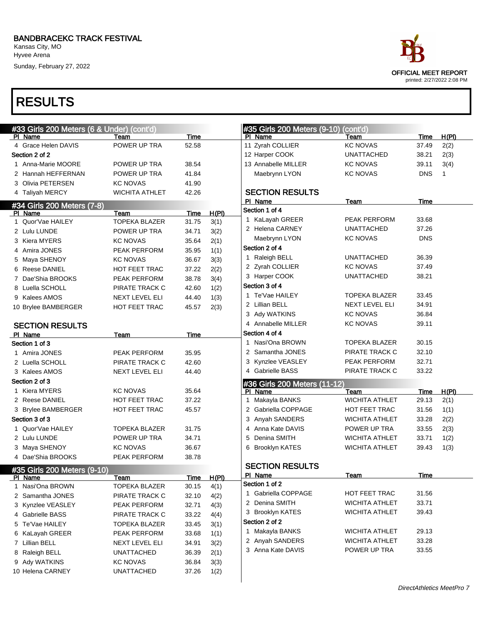Kansas City, MO Hyvee Arena

Sunday, February 27, 2022

| ace                         |
|-----------------------------|
| <b>OFFICIAL MEET REPORT</b> |
| printed: 2/27/2022 2:08 PM  |

| #33 Girls 200 Meters (6 & Under) (cont'd)     |                       |             |              | #35 Girls 200 Meters (9-10) (cont'd) |                       |             |              |
|-----------------------------------------------|-----------------------|-------------|--------------|--------------------------------------|-----------------------|-------------|--------------|
| PI Name                                       | Team                  | Time        |              | PI Name                              | Team                  | Time        | H(PI)        |
| 4 Grace Helen DAVIS                           | POWER UP TRA          | 52.58       |              | 11 Zyrah COLLIER                     | <b>KC NOVAS</b>       | 37.49       | 2(2)         |
| Section 2 of 2                                |                       |             |              | 12 Harper COOK                       | UNATTACHED            | 38.21       | 2(3)         |
| 1 Anna-Marie MOORE                            | POWER UP TRA          | 38.54       |              | 13 Annabelle MILLER                  | <b>KC NOVAS</b>       | 39.11       | 3(4)         |
| 2 Hannah HEFFERNAN                            | POWER UP TRA          | 41.84       |              | Maebrynn LYON                        | <b>KC NOVAS</b>       | <b>DNS</b>  | $\mathbf{1}$ |
| 3 Olivia PETERSEN                             | <b>KC NOVAS</b>       | 41.90       |              |                                      |                       |             |              |
| 4 Taliyah MERCY                               | <b>WICHITA ATHLET</b> | 42.26       |              | <b>SECTION RESULTS</b>               |                       |             |              |
| #34 Girls 200 Meters (7-8)                    |                       |             |              | PI Name                              | Team                  | Time        |              |
| PI Name                                       | Team                  | Time        | H(PI)        | Section 1 of 4                       |                       |             |              |
| 1 Quor'Vae HAILEY                             | <b>TOPEKA BLAZER</b>  | 31.75       | 3(1)         | 1 KaLayah GREER                      | PEAK PERFORM          | 33.68       |              |
| 2 Lulu LUNDE                                  | POWER UP TRA          | 34.71       | 3(2)         | 2 Helena CARNEY                      | UNATTACHED            | 37.26       |              |
| 3 Kiera MYERS                                 | KC NOVAS              | 35.64       | 2(1)         | Maebrynn LYON                        | <b>KC NOVAS</b>       | <b>DNS</b>  |              |
| 4 Amira JONES                                 | PEAK PERFORM          | 35.95       | 1(1)         | Section 2 of 4                       |                       |             |              |
| 5 Maya SHENOY                                 | KC NOVAS              | 36.67       | 3(3)         | 1 Raleigh BELL                       | UNATTACHED            | 36.39       |              |
| 6 Reese DANIEL                                | HOT FEET TRAC         | 37.22       | 2(2)         | 2 Zyrah COLLIER                      | <b>KC NOVAS</b>       | 37.49       |              |
| 7 Dae'Shia BROOKS                             | PEAK PERFORM          | 38.78       | 3(4)         | 3 Harper COOK                        | UNATTACHED            | 38.21       |              |
| 8 Luella SCHOLL                               | PIRATE TRACK C        | 42.60       | 1(2)         | Section 3 of 4                       |                       |             |              |
| 9 Kalees AMOS                                 | NEXT LEVEL ELI        | 44.40       | 1(3)         | 1 Te'Vae HAILEY                      | TOPEKA BLAZER         | 33.45       |              |
| 10 Brylee BAMBERGER                           | HOT FEET TRAC         | 45.57       | 2(3)         | 2 Lillian BELL                       | <b>NEXT LEVEL ELI</b> | 34.91       |              |
|                                               |                       |             |              | 3 Ady WATKINS                        | <b>KC NOVAS</b>       | 36.84       |              |
| <b>SECTION RESULTS</b>                        |                       |             |              | 4 Annabelle MILLER                   | <b>KC NOVAS</b>       | 39.11       |              |
| PI Name                                       | Team                  | Time        |              | Section 4 of 4                       |                       |             |              |
| Section 1 of 3                                |                       |             |              | 1 Nasi'Ona BROWN                     | <b>TOPEKA BLAZER</b>  | 30.15       |              |
| 1 Amira JONES                                 | PEAK PERFORM          | 35.95       |              | 2 Samantha JONES                     | PIRATE TRACK C        | 32.10       |              |
| 2 Luella SCHOLL                               | PIRATE TRACK C        | 42.60       |              | 3 Kynzlee VEASLEY                    | PEAK PERFORM          | 32.71       |              |
| 3 Kalees AMOS                                 | NEXT LEVEL ELI        | 44.40       |              | 4 Gabrielle BASS                     | PIRATE TRACK C        | 33.22       |              |
| Section 2 of 3                                |                       |             |              | #36 Girls 200 Meters (11-12)         |                       |             |              |
| 1 Kiera MYERS                                 | <b>KC NOVAS</b>       | 35.64       |              | PI Name                              | Team                  | Time        | H(PI)        |
| 2 Reese DANIEL                                | HOT FEET TRAC         | 37.22       |              | Makayla BANKS<br>1                   | <b>WICHITA ATHLET</b> | 29.13       | 2(1)         |
| 3 Brylee BAMBERGER                            | HOT FEET TRAC         | 45.57       |              | 2 Gabriella COPPAGE                  | HOT FEET TRAC         | 31.56       | 1(1)         |
| Section 3 of 3                                |                       |             |              | 3 Anyah SANDERS                      | <b>WICHITA ATHLET</b> | 33.28       | 2(2)         |
| 1 Quor'Vae HAILEY                             | <b>TOPEKA BLAZER</b>  | 31.75       |              | 4 Anna Kate DAVIS                    | POWER UP TRA          | 33.55       | 2(3)         |
| 2 Lulu LUNDE                                  | POWER UP TRA          | 34.71       |              | 5 Denina SMITH                       | WICHITA ATHLET        | 33.71       | 1(2)         |
| 3 Maya SHENOY                                 | <b>KC NOVAS</b>       | 36.67       |              | 6 Brooklyn KATES                     | <b>WICHITA ATHLET</b> | 39.43       | 1(3)         |
| 4 Dae'Shia BROOKS                             | PEAK PERFORM          | 38.78       |              |                                      |                       |             |              |
|                                               |                       |             |              | <b>SECTION RESULTS</b>               |                       |             |              |
| #35 Girls 200 Meters (9-10)<br><u>PI Name</u> | Team                  | <u>Time</u> | <u>H(PI)</u> | PI Name                              | <b>Team</b>           | <b>Time</b> |              |
| 1 Nasi'Ona BROWN                              | <b>TOPEKA BLAZER</b>  | 30.15       | 4(1)         | Section 1 of 2                       |                       |             |              |
| 2 Samantha JONES                              | PIRATE TRACK C        | 32.10       | 4(2)         | 1 Gabriella COPPAGE                  | HOT FEET TRAC         | 31.56       |              |
| 3 Kynzlee VEASLEY                             | PEAK PERFORM          | 32.71       | 4(3)         | 2 Denina SMITH                       | <b>WICHITA ATHLET</b> | 33.71       |              |
| 4 Gabrielle BASS                              | PIRATE TRACK C        | 33.22       | 4(4)         | 3 Brooklyn KATES                     | WICHITA ATHLET        | 39.43       |              |
| 5 Te'Vae HAILEY                               | <b>TOPEKA BLAZER</b>  | 33.45       | 3(1)         | Section 2 of 2                       |                       |             |              |
| 6 KaLayah GREER                               | PEAK PERFORM          | 33.68       | 1(1)         | 1 Makayla BANKS                      | <b>WICHITA ATHLET</b> | 29.13       |              |
| 7 Lillian BELL                                | NEXT LEVEL ELI        | 34.91       | 3(2)         | 2 Anyah SANDERS                      | <b>WICHITA ATHLET</b> | 33.28       |              |
| 8 Raleigh BELL                                | <b>UNATTACHED</b>     | 36.39       | 2(1)         | 3 Anna Kate DAVIS                    | POWER UP TRA          | 33.55       |              |
| 9 Ady WATKINS                                 | <b>KC NOVAS</b>       | 36.84       | 3(3)         |                                      |                       |             |              |
| 10 Helena CARNEY                              | <b>UNATTACHED</b>     | 37.26       |              |                                      |                       |             |              |
|                                               |                       |             | 1(2)         |                                      |                       |             |              |
|                                               |                       |             |              |                                      |                       |             |              |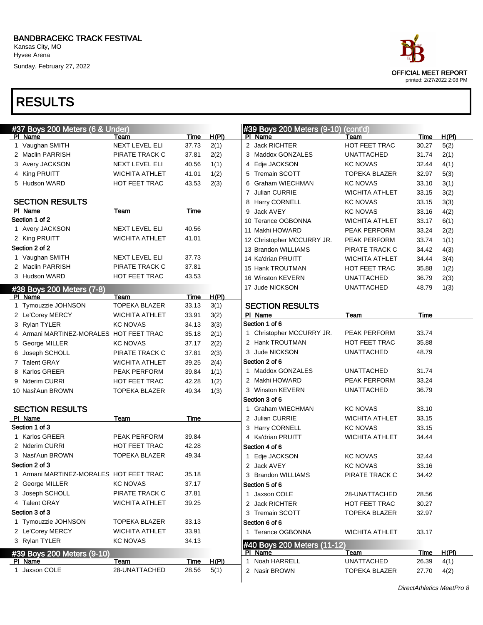Sunday, February 27, 2022

| ace                         |
|-----------------------------|
| <b>OFFICIAL MEET REPORT</b> |
| printed: 2/27/2022 2:08 PM  |

| #37 Boys 200 Meters (6 & Under)         |                       |               |               | #39 Boys 200 Meters (9-10)      | $\overline{(cont'd)}$                     |                |              |
|-----------------------------------------|-----------------------|---------------|---------------|---------------------------------|-------------------------------------------|----------------|--------------|
| PI Name                                 | Team                  | <b>Time</b>   | H(PI)         | PI Name                         | Team                                      | Time           | H(PI)        |
| 1 Vaughan SMITH                         | NEXT LEVEL ELI        | 37.73         | 2(1)          | 2 Jack RICHTER                  | HOT FEET TRAC                             | 30.27          | 5(2)         |
| 2 Maclin PARRISH                        | PIRATE TRACK C        | 37.81         | 2(2)          | 3 Maddox GONZALES               | <b>UNATTACHED</b>                         | 31.74          | 2(1)         |
| 3 Avery JACKSON                         | NEXT LEVEL ELI        | 40.56         | 1(1)          | Edje JACKSON<br>4               | <b>KC NOVAS</b>                           | 32.44          | 4(1)         |
| 4 King PRUITT                           | <b>WICHITA ATHLET</b> | 41.01         | 1(2)          | 5 Tremain SCOTT                 | <b>TOPEKA BLAZER</b>                      | 32.97          | 5(3)         |
| 5 Hudson WARD                           | <b>HOT FEET TRAC</b>  | 43.53         | 2(3)          | 6 Graham WIECHMAN               | <b>KC NOVAS</b>                           | 33.10          | 3(1)         |
|                                         |                       |               |               | 7 Julian CURRIE                 | <b>WICHITA ATHLET</b>                     | 33.15          | 3(2)         |
| <b>SECTION RESULTS</b>                  |                       |               |               | 8 Harry CORNELL                 | <b>KC NOVAS</b>                           | 33.15          | 3(3)         |
| PI Name                                 | Team                  | Time          |               | Jack AVEY<br>9                  | <b>KC NOVAS</b>                           | 33.16          | 4(2)         |
| Section 1 of 2                          |                       |               |               | 10 Terance OGBONNA              | <b>WICHITA ATHLET</b>                     | 33.17          | 6(1)         |
| 1 Avery JACKSON                         | NEXT LEVEL ELI        | 40.56         |               | 11 Makhi HOWARD                 | PEAK PERFORM                              | 33.24          | 2(2)         |
| 2 King PRUITT                           | <b>WICHITA ATHLET</b> | 41.01         |               | 12 Christopher MCCURRY JR.      | PEAK PERFORM                              | 33.74          | 1(1)         |
| Section 2 of 2                          |                       |               |               | 13 Brandon WILLIAMS             | PIRATE TRACK C                            | 34.42          | 4(3)         |
| 1 Vaughan SMITH                         | NEXT LEVEL ELI        | 37.73         |               | 14 Ka'drian PRUITT              | WICHITA ATHLET                            | 34.44          | 3(4)         |
| 2 Maclin PARRISH                        | PIRATE TRACK C        | 37.81         |               | 15 Hank TROUTMAN                | <b>HOT FEET TRAC</b>                      | 35.88          | 1(2)         |
| 3 Hudson WARD                           | HOT FEET TRAC         | 43.53         |               | 16 Winston KEVERN               | <b>UNATTACHED</b>                         | 36.79          | 2(3)         |
| #38 Boys 200 Meters (7-8)               |                       |               |               | 17 Jude NICKSON                 | <b>UNATTACHED</b>                         | 48.79          | 1(3)         |
| PI Name                                 | Team                  | Time          | H(PI)         |                                 |                                           |                |              |
| 1 Tymouzzie JOHNSON                     | <b>TOPEKA BLAZER</b>  | 33.13         | 3(1)          | <b>SECTION RESULTS</b>          |                                           |                |              |
| 2 Le'Corey MERCY                        | <b>WICHITA ATHLET</b> | 33.91         | 3(2)          | PI Name                         | Team                                      | Time           |              |
| 3 Rylan TYLER                           | <b>KC NOVAS</b>       | 34.13         | 3(3)          | Section 1 of 6                  |                                           |                |              |
| 4 Armani MARTINEZ-MORALES HOT FEET TRAC |                       | 35.18         | 2(1)          | 1 Christopher MCCURRY JR.       | PEAK PERFORM                              | 33.74          |              |
| 5 George MILLER                         | <b>KC NOVAS</b>       | 37.17         | 2(2)          | 2 Hank TROUTMAN                 | <b>HOT FEET TRAC</b>                      | 35.88          |              |
| 6 Joseph SCHOLL                         | PIRATE TRACK C        | 37.81         | 2(3)          | Jude NICKSON<br>3               | <b>UNATTACHED</b>                         | 48.79          |              |
| 7 Talent GRAY                           | <b>WICHITA ATHLET</b> | 39.25         | 2(4)          | Section 2 of 6                  |                                           |                |              |
| 8 Karlos GREER                          | PEAK PERFORM          | 39.84         | 1(1)          | 1 Maddox GONZALES               | <b>UNATTACHED</b>                         | 31.74          |              |
| 9 Nderim CURRI                          | <b>HOT FEET TRAC</b>  | 42.28         | 1(2)          | 2 Makhi HOWARD                  | PEAK PERFORM                              | 33.24          |              |
| 10 Nasi'Aun BROWN                       | <b>TOPEKA BLAZER</b>  | 49.34         | 1(3)          | 3 Winston KEVERN                | <b>UNATTACHED</b>                         | 36.79          |              |
|                                         |                       |               |               | Section 3 of 6                  |                                           |                |              |
| <b>SECTION RESULTS</b>                  |                       |               |               | 1 Graham WIECHMAN               | <b>KC NOVAS</b>                           | 33.10          |              |
| PI Name                                 | Team                  | Time          |               | 2 Julian CURRIE                 | <b>WICHITA ATHLET</b>                     | 33.15          |              |
| Section 1 of 3                          |                       |               |               | 3 Harry CORNELL                 | <b>KC NOVAS</b>                           | 33.15          |              |
| 1 Karlos GREER                          | PEAK PERFORM          | 39.84         |               | 4 Ka'drian PRUITT               | <b>WICHITA ATHLET</b>                     | 34.44          |              |
| 2 Nderim CURRI                          | HOT FEET TRAC         | 42.28         |               | Section 4 of 6                  |                                           |                |              |
| 3 Nasi'Aun BROWN                        | <b>TOPEKA BLAZER</b>  | 49.34         |               | Edje JACKSON                    | <b>KC NOVAS</b>                           | 32.44          |              |
| Section 2 of 3                          |                       |               |               | 2 Jack AVEY                     | <b>KC NOVAS</b>                           | 33.16          |              |
| 1 Armani MARTINEZ-MORALES HOT FEET TRAC |                       | 35.18         |               | <b>Brandon WILLIAMS</b><br>3    | PIRATE TRACK C                            | 34.42          |              |
| 2 George MILLER                         | KC NOVAS              | 37.17         |               | Section 5 of 6                  |                                           |                |              |
| 3 Joseph SCHOLL                         | PIRATE TRACK C        | 37.81         |               | 1 Jaxson COLE                   | 28-UNATTACHED                             | 28.56          |              |
| 4 Talent GRAY                           | <b>WICHITA ATHLET</b> | 39.25         |               | 2 Jack RICHTER                  | HOT FEET TRAC                             | 30.27          |              |
| Section 3 of 3                          |                       |               |               | 3 Tremain SCOTT                 | <b>TOPEKA BLAZER</b>                      | 32.97          |              |
| 1 Tymouzzie JOHNSON                     | <b>TOPEKA BLAZER</b>  | 33.13         |               | Section 6 of 6                  |                                           |                |              |
| 2 Le'Corey MERCY                        | <b>WICHITA ATHLET</b> | 33.91         |               | 1 Terance OGBONNA               | <b>WICHITA ATHLET</b>                     | 33.17          |              |
| 3 Rylan TYLER                           | <b>KC NOVAS</b>       | 34.13         |               |                                 |                                           |                |              |
|                                         |                       |               |               | #40 Boys 200 Meters (11-12)     |                                           |                |              |
| #39 Boys 200 Meters (9-10)              |                       |               |               | PI Name                         | Team                                      | <u>Time</u>    | H(PI)        |
|                                         |                       |               |               |                                 |                                           |                |              |
| PI Name<br>1 Jaxson COLE                | Team<br>28-UNATTACHED | Time<br>28.56 | H(PI)<br>5(1) | 1 Noah HARRELL<br>2 Nasir BROWN | <b>UNATTACHED</b><br><b>TOPEKA BLAZER</b> | 26.39<br>27.70 | 4(1)<br>4(2) |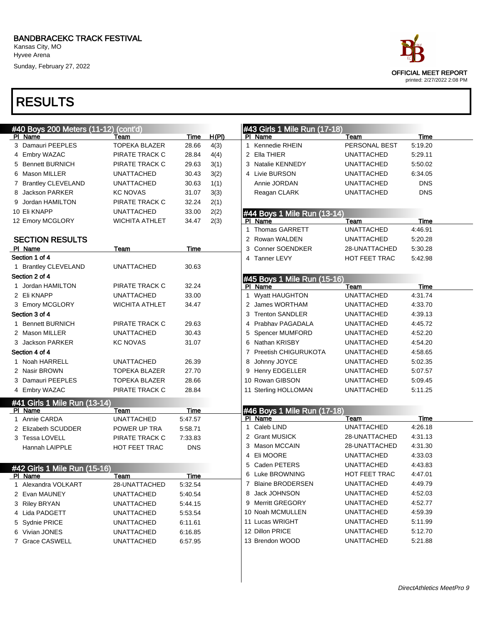Kansas City, MO Hyvee Arena

Sunday, February 27, 2022

| #40 Boys 200 Meters (11-12) (cont'd) |                       |             |       |  | #43 Girls 1 Mile Run (17-18)           |                   |             |  |  |
|--------------------------------------|-----------------------|-------------|-------|--|----------------------------------------|-------------------|-------------|--|--|
| PI Name                              | Team                  | Time        | H(PI) |  | PI Name                                | Team              | Time        |  |  |
| 3 Damauri PEEPLES                    | <b>TOPEKA BLAZER</b>  | 28.66       | 4(3)  |  | 1 Kennedie RHEIN                       | PERSONAL BEST     | 5:19.20     |  |  |
| 4 Embry WAZAC                        | PIRATE TRACK C        | 28.84       | 4(4)  |  | 2 Ella THIER                           | <b>UNATTACHED</b> | 5:29.11     |  |  |
| 5 Bennett BURNICH                    | PIRATE TRACK C        | 29.63       | 3(1)  |  | 3 Natalie KENNEDY                      | <b>UNATTACHED</b> | 5:50.02     |  |  |
| 6 Mason MILLER                       | <b>UNATTACHED</b>     | 30.43       | 3(2)  |  | 4 Livie BURSON                         | <b>UNATTACHED</b> | 6:34.05     |  |  |
| 7 Brantley CLEVELAND                 | <b>UNATTACHED</b>     | 30.63       | 1(1)  |  | Annie JORDAN                           | <b>UNATTACHED</b> | <b>DNS</b>  |  |  |
| Jackson PARKER                       | <b>KC NOVAS</b>       | 31.07       | 3(3)  |  | Reagan CLARK                           | <b>UNATTACHED</b> | <b>DNS</b>  |  |  |
| 9 Jordan HAMILTON                    | PIRATE TRACK C        | 32.24       | 2(1)  |  |                                        |                   |             |  |  |
| 10 Eli KNAPP                         | <b>UNATTACHED</b>     | 33.00       | 2(2)  |  | #44 Boys 1 Mile Run (13-14)            |                   |             |  |  |
| 12 Emory MCGLORY                     | <b>WICHITA ATHLET</b> | 34.47       | 2(3)  |  | PI Name                                | Team              | <b>Time</b> |  |  |
|                                      |                       |             |       |  | <b>Thomas GARRETT</b>                  | <b>UNATTACHED</b> | 4:46.91     |  |  |
| <b>SECTION RESULTS</b>               |                       |             |       |  | 2 Rowan WALDEN                         | <b>UNATTACHED</b> | 5:20.28     |  |  |
| PI Name                              | Team                  | Time        |       |  | 3 Conner SOENDKER                      | 28-UNATTACHED     | 5:30.28     |  |  |
| Section 1 of 4                       |                       |             |       |  | 4 Tanner LEVY                          | HOT FEET TRAC     | 5:42.98     |  |  |
| 1 Brantley CLEVELAND                 | UNATTACHED            | 30.63       |       |  |                                        |                   |             |  |  |
| Section 2 of 4                       |                       |             |       |  | #45 Boys 1 Mile Run (15-16)            |                   |             |  |  |
| 1 Jordan HAMILTON                    | PIRATE TRACK C        | 32.24       |       |  | PI Name                                | Team              | Time        |  |  |
| 2 Eli KNAPP                          | <b>UNATTACHED</b>     | 33.00       |       |  | 1 Wyatt HAUGHTON                       | <b>UNATTACHED</b> | 4:31.74     |  |  |
| 3 Emory MCGLORY                      | <b>WICHITA ATHLET</b> | 34.47       |       |  | 2 James WORTHAM                        | UNATTACHED        | 4:33.70     |  |  |
| Section 3 of 4                       |                       |             |       |  | 3 Trenton SANDLER                      | <b>UNATTACHED</b> | 4:39.13     |  |  |
| 1 Bennett BURNICH                    | PIRATE TRACK C        | 29.63       |       |  | 4 Prabhav PAGADALA                     | <b>UNATTACHED</b> | 4:45.72     |  |  |
| 2 Mason MILLER                       | <b>UNATTACHED</b>     | 30.43       |       |  | 5 Spencer MUMFORD                      | <b>UNATTACHED</b> | 4:52.20     |  |  |
| 3 Jackson PARKER                     | <b>KC NOVAS</b>       | 31.07       |       |  | 6 Nathan KRISBY                        | <b>UNATTACHED</b> | 4:54.20     |  |  |
| Section 4 of 4                       |                       |             |       |  | Preetish CHIGURUKOTA<br>$\overline{7}$ | <b>UNATTACHED</b> | 4:58.65     |  |  |
| 1 Noah HARRELL                       | UNATTACHED            | 26.39       |       |  | 8 Johnny JOYCE                         | <b>UNATTACHED</b> | 5:02.35     |  |  |
| 2 Nasir BROWN                        | <b>TOPEKA BLAZER</b>  | 27.70       |       |  | 9 Henry EDGELLER                       | <b>UNATTACHED</b> | 5:07.57     |  |  |
| 3 Damauri PEEPLES                    | <b>TOPEKA BLAZER</b>  | 28.66       |       |  | 10 Rowan GIBSON                        | <b>UNATTACHED</b> | 5:09.45     |  |  |
| 4 Embry WAZAC                        | PIRATE TRACK C        | 28.84       |       |  | 11 Sterling HOLLOMAN                   | <b>UNATTACHED</b> | 5:11.25     |  |  |
| #41 Girls 1 Mile Run (13-14)         |                       |             |       |  |                                        |                   |             |  |  |
| PI Name                              | Team                  | Time        |       |  | #46 Boys 1 Mile Run (17-18)            |                   |             |  |  |
| 1 Annie CARDA                        | <b>UNATTACHED</b>     | 5:47.57     |       |  | PI Name                                | Team              | Time        |  |  |
| 2 Elizabeth SCUDDER                  | POWER UP TRA          | 5:58.71     |       |  | Caleb LIND<br>1                        | <b>UNATTACHED</b> | 4:26.18     |  |  |
| 3 Tessa LOVELL                       | PIRATE TRACK C        | 7:33.83     |       |  | 2 Grant MUSICK                         | 28-UNATTACHED     | 4:31.13     |  |  |
| Hannah LAIPPLE                       | HOT FEET TRAC         | <b>DNS</b>  |       |  | 3 Mason MCCAIN                         | 28-UNATTACHED     | 4:31.30     |  |  |
|                                      |                       |             |       |  | Eli MOORE<br>4                         | <b>UNATTACHED</b> | 4:33.03     |  |  |
| #42 Girls 1 Mile Run (15-16)         |                       |             |       |  | 5 Caden PETERS                         | <b>UNATTACHED</b> | 4:43.83     |  |  |
| <u>PI Name</u>                       | Team                  | <u>Time</u> |       |  | 6 Luke BROWNING                        | HOT FEET TRAC     | 4:47.01     |  |  |
| 1 Alexandra VOLKART                  | 28-UNATTACHED         | 5:32.54     |       |  | 7 Blaine BRODERSEN                     | <b>UNATTACHED</b> | 4:49.79     |  |  |
| 2 Evan MAUNEY                        | <b>UNATTACHED</b>     | 5:40.54     |       |  | 8 Jack JOHNSON                         | <b>UNATTACHED</b> | 4:52.03     |  |  |
| 3 Riley BRYAN                        | <b>UNATTACHED</b>     | 5:44.15     |       |  | 9 Merritt GREGORY                      | <b>UNATTACHED</b> | 4:52.77     |  |  |
| 4 Lida PADGETT                       | <b>UNATTACHED</b>     | 5:53.54     |       |  | 10 Noah MCMULLEN                       | <b>UNATTACHED</b> | 4:59.39     |  |  |
| 5 Sydnie PRICE                       | <b>UNATTACHED</b>     | 6:11.61     |       |  | 11 Lucas WRIGHT                        | <b>UNATTACHED</b> | 5:11.99     |  |  |
| 6 Vivian JONES                       | <b>UNATTACHED</b>     | 6:16.85     |       |  | 12 Dillon PRICE                        | <b>UNATTACHED</b> | 5:12.70     |  |  |
| 7 Grace CASWELL                      | UNATTACHED            | 6:57.95     |       |  | 13 Brendon WOOD                        | <b>UNATTACHED</b> | 5:21.88     |  |  |

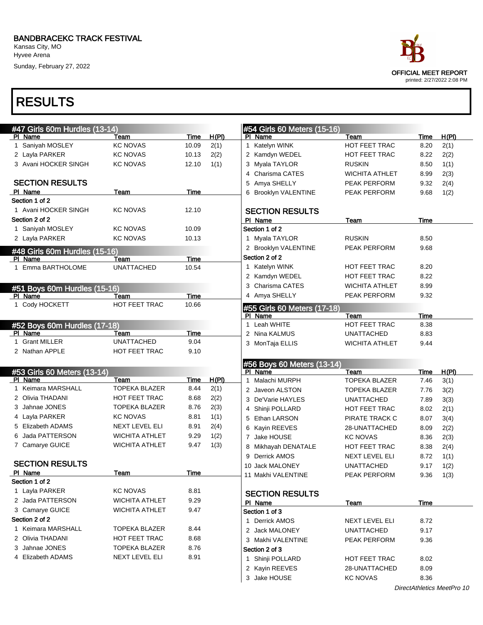Kansas City, MO Hyvee Arena

Sunday, February 27, 2022



| #47 Girls 60m Hurdles (13-14)           |                       |                      |       | #54 Girls 60 Meters (15-16)            |                                |              |       |
|-----------------------------------------|-----------------------|----------------------|-------|----------------------------------------|--------------------------------|--------------|-------|
| PI Name                                 | Team                  | Time                 | H(PI) | PI Name                                | Team                           | Time         | H(PI) |
| 1 Saniyah MOSLEY                        | <b>KC NOVAS</b>       | 10.09                | 2(1)  | 1 Katelyn WINK                         | <b>HOT FEET TRAC</b>           | 8.20         | 2(1)  |
| 2 Layla PARKER                          | <b>KC NOVAS</b>       | 10.13                | 2(2)  | 2 Kamdyn WEDEL                         | HOT FEET TRAC                  | 8.22         | 2(2)  |
| 3 Avani HOCKER SINGH                    | KC NOVAS              | 12.10                | 1(1)  | 3 Myala TAYLOR                         | <b>RUSKIN</b>                  | 8.50         | 1(1)  |
|                                         |                       |                      |       | 4 Charisma CATES                       | <b>WICHITA ATHLET</b>          | 8.99         | 2(3)  |
| <b>SECTION RESULTS</b>                  |                       |                      |       | 5 Amya SHELLY                          | PEAK PERFORM                   | 9.32         | 2(4)  |
| PI Name                                 | Team                  | Time                 |       | 6 Brooklyn VALENTINE                   | PEAK PERFORM                   | 9.68         | 1(2)  |
| Section 1 of 2                          |                       |                      |       |                                        |                                |              |       |
| 1 Avani HOCKER SINGH                    | <b>KC NOVAS</b>       | 12.10                |       | <b>SECTION RESULTS</b>                 |                                |              |       |
| Section 2 of 2                          | <b>KC NOVAS</b>       |                      |       | PI Name                                | Team                           | Time         |       |
| 1 Saniyah MOSLEY                        |                       | 10.09                |       | Section 1 of 2                         |                                |              |       |
| 2 Layla PARKER                          | <b>KC NOVAS</b>       | 10.13                |       | 1 Myala TAYLOR                         | <b>RUSKIN</b>                  | 8.50         |       |
| #48 Girls 60m Hurdles (15-16)           |                       |                      |       | 2 Brooklyn VALENTINE<br>Section 2 of 2 | PEAK PERFORM                   | 9.68         |       |
| PI Name                                 | Team                  | Time                 |       |                                        |                                | 8.20         |       |
| 1 Emma BARTHOLOME                       | <b>UNATTACHED</b>     | 10.54                |       | 1 Katelyn WINK                         | HOT FEET TRAC<br>HOT FEET TRAC | 8.22         |       |
|                                         |                       |                      |       | 2 Kamdyn WEDEL<br>3 Charisma CATES     |                                | 8.99         |       |
| #51 Boys 60m Hurdles (15-16)            |                       |                      |       | 4 Amya SHELLY                          | WICHITA ATHLET<br>PEAK PERFORM | 9.32         |       |
| PI Name<br>1 Cody HOCKETT               | Team<br>HOT FEET TRAC | <b>Time</b><br>10.66 |       |                                        |                                |              |       |
|                                         |                       |                      |       | #55 Girls 60 Meters (17-18)            |                                |              |       |
|                                         |                       |                      |       | PI Name<br>1 Leah WHITE                | Team<br>HOT FEET TRAC          | Time         |       |
| #52 Boys 60m Hurdles (17-18)<br>PI Name | Team                  | Time                 |       | 2 Nina KALMUS                          | <b>UNATTACHED</b>              | 8.38<br>8.83 |       |
| 1 Grant MILLER                          | <b>UNATTACHED</b>     | 9.04                 |       | 3 MonTaja ELLIS                        | <b>WICHITA ATHLET</b>          | 9.44         |       |
| 2 Nathan APPLE                          | HOT FEET TRAC         | 9.10                 |       |                                        |                                |              |       |
|                                         |                       |                      |       |                                        |                                |              |       |
| #53 Girls 60 Meters (13-14)             |                       |                      |       | #56 Boys 60 Meters (13-14)<br>PI Name  | Team                           | Time         | H(PI) |
| PI Name                                 | Team                  | Time                 | H(PI) | Malachi MURPH                          | <b>TOPEKA BLAZER</b>           | 7.46         | 3(1)  |
| 1 Keimara MARSHALL                      | <b>TOPEKA BLAZER</b>  | 8.44                 | 2(1)  | 2 Javeon ALSTON                        | <b>TOPEKA BLAZER</b>           | 7.76         | 3(2)  |
| 2 Olivia THADANI                        | HOT FEET TRAC         | 8.68                 | 2(2)  | 3 De'Varie HAYLES                      | <b>UNATTACHED</b>              | 7.89         | 3(3)  |
| 3 Jahnae JONES                          | <b>TOPEKA BLAZER</b>  | 8.76                 | 2(3)  | 4 Shinji POLLARD                       | HOT FEET TRAC                  | 8.02         | 2(1)  |
| 4 Layla PARKER                          | <b>KC NOVAS</b>       | 8.81                 | 1(1)  | 5 Ethan LARSON                         | PIRATE TRACK C                 | 8.07         | 3(4)  |
| 5 Elizabeth ADAMS                       | <b>NEXT LEVEL ELI</b> | 8.91                 | 2(4)  | 6 Kayin REEVES                         | 28-UNATTACHED                  | 8.09         | 2(2)  |
| 6 Jada PATTERSON                        | <b>WICHITA ATHLET</b> | 9.29                 | 1(2)  | 7 Jake HOUSE                           | <b>KC NOVAS</b>                | 8.36         | 2(3)  |
| 7 Camarye GUICE                         | <b>WICHITA ATHLET</b> | 9.47                 | 1(3)  | 8 Mikhayah DENATALE                    | HOT FEET TRAC                  | 8.38         | 2(4)  |
|                                         |                       |                      |       | 9 Derrick AMOS                         | <b>NEXT LEVEL ELI</b>          | 8.72         | 1(1)  |
| <b>SECTION RESULTS</b>                  |                       |                      |       | 10 Jack MALONEY                        | <b>UNATTACHED</b>              | 9.17         | 1(2)  |
| PI Name                                 | Team                  | Time                 |       | 11 Makhi VALENTINE                     | PEAK PERFORM                   | 9.36         | 1(3)  |
| Section 1 of 2                          |                       |                      |       |                                        |                                |              |       |
| 1 Layla PARKER                          | <b>KC NOVAS</b>       | 8.81                 |       | <b>SECTION RESULTS</b>                 |                                |              |       |
| 2 Jada PATTERSON                        | <b>WICHITA ATHLET</b> | 9.29                 |       | PI Name                                | <u>Team</u>                    | <b>Time</b>  |       |
| 3 Camarye GUICE                         | <b>WICHITA ATHLET</b> | 9.47                 |       | Section 1 of 3                         |                                |              |       |
| Section 2 of 2                          |                       |                      |       | 1 Derrick AMOS                         | <b>NEXT LEVEL ELI</b>          | 8.72         |       |
| 1 Keimara MARSHALL                      | <b>TOPEKA BLAZER</b>  | 8.44                 |       | 2 Jack MALONEY                         | <b>UNATTACHED</b>              | 9.17         |       |
| 2 Olivia THADANI                        | HOT FEET TRAC         | 8.68                 |       | 3 Makhi VALENTINE                      | PEAK PERFORM                   | 9.36         |       |
| 3 Jahnae JONES                          | <b>TOPEKA BLAZER</b>  | 8.76                 |       | Section 2 of 3                         |                                |              |       |
| 4 Elizabeth ADAMS                       | NEXT LEVEL ELI        | 8.91                 |       | 1 Shinji POLLARD                       | HOT FEET TRAC                  | 8.02         |       |
|                                         |                       |                      |       |                                        |                                |              |       |
|                                         |                       |                      |       | 2 Kayin REEVES                         | 28-UNATTACHED                  | 8.09         |       |
|                                         |                       |                      |       | 3 Jake HOUSE                           | <b>KC NOVAS</b>                | 8.36         |       |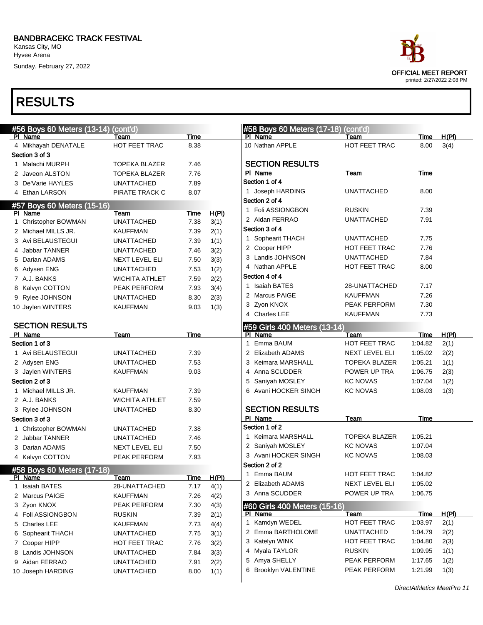Kansas City, MO Hyvee Arena

Sunday, February 27, 2022

### RESULTS

| race                                                      |
|-----------------------------------------------------------|
| <b>OFFICIAL MEET REPORT</b><br>printed: 2/27/2022 2:08 PM |

| #56 Boys 60 Meters (13-14) | (cont'd)                                                                                                                                                                                                                                                                                                                                                                                                                                                                                                                                                                                                                                                                                                                |                                                                                                                                                                                                                                                                                                                                                                                                    |                                                                                                                                                             | #58 Boys 60 Meters (17-18) (cont'd)                                                   |                                                                                                                                                                                                                                                                                                                                                                                                                |                                                                                                                                                                                                                                                                                                                |                                                                                                                                                          |
|----------------------------|-------------------------------------------------------------------------------------------------------------------------------------------------------------------------------------------------------------------------------------------------------------------------------------------------------------------------------------------------------------------------------------------------------------------------------------------------------------------------------------------------------------------------------------------------------------------------------------------------------------------------------------------------------------------------------------------------------------------------|----------------------------------------------------------------------------------------------------------------------------------------------------------------------------------------------------------------------------------------------------------------------------------------------------------------------------------------------------------------------------------------------------|-------------------------------------------------------------------------------------------------------------------------------------------------------------|---------------------------------------------------------------------------------------|----------------------------------------------------------------------------------------------------------------------------------------------------------------------------------------------------------------------------------------------------------------------------------------------------------------------------------------------------------------------------------------------------------------|----------------------------------------------------------------------------------------------------------------------------------------------------------------------------------------------------------------------------------------------------------------------------------------------------------------|----------------------------------------------------------------------------------------------------------------------------------------------------------|
| PI Name                    | Team                                                                                                                                                                                                                                                                                                                                                                                                                                                                                                                                                                                                                                                                                                                    | Time                                                                                                                                                                                                                                                                                                                                                                                               |                                                                                                                                                             | PI Name                                                                               | Team                                                                                                                                                                                                                                                                                                                                                                                                           | Time                                                                                                                                                                                                                                                                                                           | H(PI)                                                                                                                                                    |
|                            | HOT FEET TRAC                                                                                                                                                                                                                                                                                                                                                                                                                                                                                                                                                                                                                                                                                                           | 8.38                                                                                                                                                                                                                                                                                                                                                                                               |                                                                                                                                                             | 10 Nathan APPLE                                                                       | HOT FEET TRAC                                                                                                                                                                                                                                                                                                                                                                                                  | 8.00                                                                                                                                                                                                                                                                                                           | 3(4)                                                                                                                                                     |
|                            |                                                                                                                                                                                                                                                                                                                                                                                                                                                                                                                                                                                                                                                                                                                         |                                                                                                                                                                                                                                                                                                                                                                                                    |                                                                                                                                                             |                                                                                       |                                                                                                                                                                                                                                                                                                                                                                                                                |                                                                                                                                                                                                                                                                                                                |                                                                                                                                                          |
|                            | <b>TOPEKA BLAZER</b>                                                                                                                                                                                                                                                                                                                                                                                                                                                                                                                                                                                                                                                                                                    | 7.46                                                                                                                                                                                                                                                                                                                                                                                               |                                                                                                                                                             |                                                                                       |                                                                                                                                                                                                                                                                                                                                                                                                                |                                                                                                                                                                                                                                                                                                                |                                                                                                                                                          |
|                            | <b>TOPEKA BLAZER</b>                                                                                                                                                                                                                                                                                                                                                                                                                                                                                                                                                                                                                                                                                                    | 7.76                                                                                                                                                                                                                                                                                                                                                                                               |                                                                                                                                                             | PI Name                                                                               | Team                                                                                                                                                                                                                                                                                                                                                                                                           | Time                                                                                                                                                                                                                                                                                                           |                                                                                                                                                          |
|                            | <b>UNATTACHED</b>                                                                                                                                                                                                                                                                                                                                                                                                                                                                                                                                                                                                                                                                                                       | 7.89                                                                                                                                                                                                                                                                                                                                                                                               |                                                                                                                                                             |                                                                                       |                                                                                                                                                                                                                                                                                                                                                                                                                |                                                                                                                                                                                                                                                                                                                |                                                                                                                                                          |
|                            | PIRATE TRACK C                                                                                                                                                                                                                                                                                                                                                                                                                                                                                                                                                                                                                                                                                                          | 8.07                                                                                                                                                                                                                                                                                                                                                                                               |                                                                                                                                                             |                                                                                       | <b>UNATTACHED</b>                                                                                                                                                                                                                                                                                                                                                                                              |                                                                                                                                                                                                                                                                                                                |                                                                                                                                                          |
|                            |                                                                                                                                                                                                                                                                                                                                                                                                                                                                                                                                                                                                                                                                                                                         |                                                                                                                                                                                                                                                                                                                                                                                                    |                                                                                                                                                             | Section 2 of 4                                                                        |                                                                                                                                                                                                                                                                                                                                                                                                                |                                                                                                                                                                                                                                                                                                                |                                                                                                                                                          |
|                            | Team                                                                                                                                                                                                                                                                                                                                                                                                                                                                                                                                                                                                                                                                                                                    |                                                                                                                                                                                                                                                                                                                                                                                                    |                                                                                                                                                             | 1 Foli ASSIONGBON                                                                     | <b>RUSKIN</b>                                                                                                                                                                                                                                                                                                                                                                                                  | 7.39                                                                                                                                                                                                                                                                                                           |                                                                                                                                                          |
|                            | <b>UNATTACHED</b>                                                                                                                                                                                                                                                                                                                                                                                                                                                                                                                                                                                                                                                                                                       | 7.38                                                                                                                                                                                                                                                                                                                                                                                               |                                                                                                                                                             | 2 Aidan FERRAO                                                                        | <b>UNATTACHED</b>                                                                                                                                                                                                                                                                                                                                                                                              | 7.91                                                                                                                                                                                                                                                                                                           |                                                                                                                                                          |
|                            | <b>KAUFFMAN</b>                                                                                                                                                                                                                                                                                                                                                                                                                                                                                                                                                                                                                                                                                                         | 7.39                                                                                                                                                                                                                                                                                                                                                                                               |                                                                                                                                                             | Section 3 of 4                                                                        |                                                                                                                                                                                                                                                                                                                                                                                                                |                                                                                                                                                                                                                                                                                                                |                                                                                                                                                          |
|                            | <b>UNATTACHED</b>                                                                                                                                                                                                                                                                                                                                                                                                                                                                                                                                                                                                                                                                                                       |                                                                                                                                                                                                                                                                                                                                                                                                    |                                                                                                                                                             | 1 Sophearit THACH                                                                     | <b>UNATTACHED</b>                                                                                                                                                                                                                                                                                                                                                                                              | 7.75                                                                                                                                                                                                                                                                                                           |                                                                                                                                                          |
|                            | <b>UNATTACHED</b>                                                                                                                                                                                                                                                                                                                                                                                                                                                                                                                                                                                                                                                                                                       | 7.46                                                                                                                                                                                                                                                                                                                                                                                               |                                                                                                                                                             | 2 Cooper HIPP                                                                         | <b>HOT FEET TRAC</b>                                                                                                                                                                                                                                                                                                                                                                                           | 7.76                                                                                                                                                                                                                                                                                                           |                                                                                                                                                          |
|                            |                                                                                                                                                                                                                                                                                                                                                                                                                                                                                                                                                                                                                                                                                                                         |                                                                                                                                                                                                                                                                                                                                                                                                    |                                                                                                                                                             | 3 Landis JOHNSON                                                                      | <b>UNATTACHED</b>                                                                                                                                                                                                                                                                                                                                                                                              | 7.84                                                                                                                                                                                                                                                                                                           |                                                                                                                                                          |
|                            |                                                                                                                                                                                                                                                                                                                                                                                                                                                                                                                                                                                                                                                                                                                         |                                                                                                                                                                                                                                                                                                                                                                                                    |                                                                                                                                                             | 4 Nathan APPLE                                                                        | <b>HOT FEET TRAC</b>                                                                                                                                                                                                                                                                                                                                                                                           | 8.00                                                                                                                                                                                                                                                                                                           |                                                                                                                                                          |
|                            |                                                                                                                                                                                                                                                                                                                                                                                                                                                                                                                                                                                                                                                                                                                         |                                                                                                                                                                                                                                                                                                                                                                                                    |                                                                                                                                                             | Section 4 of 4                                                                        |                                                                                                                                                                                                                                                                                                                                                                                                                |                                                                                                                                                                                                                                                                                                                |                                                                                                                                                          |
|                            |                                                                                                                                                                                                                                                                                                                                                                                                                                                                                                                                                                                                                                                                                                                         |                                                                                                                                                                                                                                                                                                                                                                                                    |                                                                                                                                                             | 1 Isaiah BATES                                                                        | 28-UNATTACHED                                                                                                                                                                                                                                                                                                                                                                                                  | 7.17                                                                                                                                                                                                                                                                                                           |                                                                                                                                                          |
|                            |                                                                                                                                                                                                                                                                                                                                                                                                                                                                                                                                                                                                                                                                                                                         |                                                                                                                                                                                                                                                                                                                                                                                                    |                                                                                                                                                             | 2 Marcus PAIGE                                                                        | <b>KAUFFMAN</b>                                                                                                                                                                                                                                                                                                                                                                                                | 7.26                                                                                                                                                                                                                                                                                                           |                                                                                                                                                          |
|                            |                                                                                                                                                                                                                                                                                                                                                                                                                                                                                                                                                                                                                                                                                                                         |                                                                                                                                                                                                                                                                                                                                                                                                    |                                                                                                                                                             | 3 Zyon KNOX                                                                           | PEAK PERFORM                                                                                                                                                                                                                                                                                                                                                                                                   | 7.30                                                                                                                                                                                                                                                                                                           |                                                                                                                                                          |
|                            |                                                                                                                                                                                                                                                                                                                                                                                                                                                                                                                                                                                                                                                                                                                         |                                                                                                                                                                                                                                                                                                                                                                                                    |                                                                                                                                                             | 4 Charles LEE                                                                         | <b>KAUFFMAN</b>                                                                                                                                                                                                                                                                                                                                                                                                | 7.73                                                                                                                                                                                                                                                                                                           |                                                                                                                                                          |
|                            |                                                                                                                                                                                                                                                                                                                                                                                                                                                                                                                                                                                                                                                                                                                         |                                                                                                                                                                                                                                                                                                                                                                                                    |                                                                                                                                                             |                                                                                       |                                                                                                                                                                                                                                                                                                                                                                                                                |                                                                                                                                                                                                                                                                                                                |                                                                                                                                                          |
|                            |                                                                                                                                                                                                                                                                                                                                                                                                                                                                                                                                                                                                                                                                                                                         |                                                                                                                                                                                                                                                                                                                                                                                                    |                                                                                                                                                             |                                                                                       |                                                                                                                                                                                                                                                                                                                                                                                                                |                                                                                                                                                                                                                                                                                                                | H(PI)                                                                                                                                                    |
|                            |                                                                                                                                                                                                                                                                                                                                                                                                                                                                                                                                                                                                                                                                                                                         |                                                                                                                                                                                                                                                                                                                                                                                                    |                                                                                                                                                             |                                                                                       |                                                                                                                                                                                                                                                                                                                                                                                                                |                                                                                                                                                                                                                                                                                                                | 2(1)                                                                                                                                                     |
|                            |                                                                                                                                                                                                                                                                                                                                                                                                                                                                                                                                                                                                                                                                                                                         |                                                                                                                                                                                                                                                                                                                                                                                                    |                                                                                                                                                             |                                                                                       |                                                                                                                                                                                                                                                                                                                                                                                                                |                                                                                                                                                                                                                                                                                                                | 2(2)                                                                                                                                                     |
|                            |                                                                                                                                                                                                                                                                                                                                                                                                                                                                                                                                                                                                                                                                                                                         |                                                                                                                                                                                                                                                                                                                                                                                                    |                                                                                                                                                             |                                                                                       |                                                                                                                                                                                                                                                                                                                                                                                                                |                                                                                                                                                                                                                                                                                                                | 1(1)                                                                                                                                                     |
|                            |                                                                                                                                                                                                                                                                                                                                                                                                                                                                                                                                                                                                                                                                                                                         |                                                                                                                                                                                                                                                                                                                                                                                                    |                                                                                                                                                             |                                                                                       |                                                                                                                                                                                                                                                                                                                                                                                                                |                                                                                                                                                                                                                                                                                                                | 2(3)                                                                                                                                                     |
|                            |                                                                                                                                                                                                                                                                                                                                                                                                                                                                                                                                                                                                                                                                                                                         |                                                                                                                                                                                                                                                                                                                                                                                                    |                                                                                                                                                             |                                                                                       |                                                                                                                                                                                                                                                                                                                                                                                                                |                                                                                                                                                                                                                                                                                                                | 1(2)                                                                                                                                                     |
|                            |                                                                                                                                                                                                                                                                                                                                                                                                                                                                                                                                                                                                                                                                                                                         |                                                                                                                                                                                                                                                                                                                                                                                                    |                                                                                                                                                             |                                                                                       |                                                                                                                                                                                                                                                                                                                                                                                                                |                                                                                                                                                                                                                                                                                                                |                                                                                                                                                          |
|                            |                                                                                                                                                                                                                                                                                                                                                                                                                                                                                                                                                                                                                                                                                                                         |                                                                                                                                                                                                                                                                                                                                                                                                    |                                                                                                                                                             |                                                                                       |                                                                                                                                                                                                                                                                                                                                                                                                                |                                                                                                                                                                                                                                                                                                                | 1(3)                                                                                                                                                     |
|                            |                                                                                                                                                                                                                                                                                                                                                                                                                                                                                                                                                                                                                                                                                                                         |                                                                                                                                                                                                                                                                                                                                                                                                    |                                                                                                                                                             |                                                                                       |                                                                                                                                                                                                                                                                                                                                                                                                                |                                                                                                                                                                                                                                                                                                                |                                                                                                                                                          |
|                            |                                                                                                                                                                                                                                                                                                                                                                                                                                                                                                                                                                                                                                                                                                                         |                                                                                                                                                                                                                                                                                                                                                                                                    |                                                                                                                                                             |                                                                                       |                                                                                                                                                                                                                                                                                                                                                                                                                |                                                                                                                                                                                                                                                                                                                |                                                                                                                                                          |
|                            |                                                                                                                                                                                                                                                                                                                                                                                                                                                                                                                                                                                                                                                                                                                         |                                                                                                                                                                                                                                                                                                                                                                                                    |                                                                                                                                                             |                                                                                       |                                                                                                                                                                                                                                                                                                                                                                                                                |                                                                                                                                                                                                                                                                                                                |                                                                                                                                                          |
|                            |                                                                                                                                                                                                                                                                                                                                                                                                                                                                                                                                                                                                                                                                                                                         |                                                                                                                                                                                                                                                                                                                                                                                                    |                                                                                                                                                             |                                                                                       |                                                                                                                                                                                                                                                                                                                                                                                                                |                                                                                                                                                                                                                                                                                                                |                                                                                                                                                          |
|                            |                                                                                                                                                                                                                                                                                                                                                                                                                                                                                                                                                                                                                                                                                                                         |                                                                                                                                                                                                                                                                                                                                                                                                    |                                                                                                                                                             |                                                                                       |                                                                                                                                                                                                                                                                                                                                                                                                                |                                                                                                                                                                                                                                                                                                                |                                                                                                                                                          |
|                            |                                                                                                                                                                                                                                                                                                                                                                                                                                                                                                                                                                                                                                                                                                                         |                                                                                                                                                                                                                                                                                                                                                                                                    |                                                                                                                                                             |                                                                                       |                                                                                                                                                                                                                                                                                                                                                                                                                |                                                                                                                                                                                                                                                                                                                |                                                                                                                                                          |
|                            |                                                                                                                                                                                                                                                                                                                                                                                                                                                                                                                                                                                                                                                                                                                         |                                                                                                                                                                                                                                                                                                                                                                                                    |                                                                                                                                                             |                                                                                       |                                                                                                                                                                                                                                                                                                                                                                                                                |                                                                                                                                                                                                                                                                                                                |                                                                                                                                                          |
|                            |                                                                                                                                                                                                                                                                                                                                                                                                                                                                                                                                                                                                                                                                                                                         |                                                                                                                                                                                                                                                                                                                                                                                                    |                                                                                                                                                             |                                                                                       |                                                                                                                                                                                                                                                                                                                                                                                                                |                                                                                                                                                                                                                                                                                                                |                                                                                                                                                          |
|                            | <u> Team</u>                                                                                                                                                                                                                                                                                                                                                                                                                                                                                                                                                                                                                                                                                                            | <u>Time</u>                                                                                                                                                                                                                                                                                                                                                                                        | H(PI)                                                                                                                                                       |                                                                                       |                                                                                                                                                                                                                                                                                                                                                                                                                |                                                                                                                                                                                                                                                                                                                |                                                                                                                                                          |
|                            | 28-UNATTACHED                                                                                                                                                                                                                                                                                                                                                                                                                                                                                                                                                                                                                                                                                                           | 7.17                                                                                                                                                                                                                                                                                                                                                                                               | 4(1)                                                                                                                                                        |                                                                                       |                                                                                                                                                                                                                                                                                                                                                                                                                |                                                                                                                                                                                                                                                                                                                |                                                                                                                                                          |
|                            | KAUFFMAN                                                                                                                                                                                                                                                                                                                                                                                                                                                                                                                                                                                                                                                                                                                | 7.26                                                                                                                                                                                                                                                                                                                                                                                               | 4(2)                                                                                                                                                        |                                                                                       |                                                                                                                                                                                                                                                                                                                                                                                                                |                                                                                                                                                                                                                                                                                                                |                                                                                                                                                          |
|                            | PEAK PERFORM                                                                                                                                                                                                                                                                                                                                                                                                                                                                                                                                                                                                                                                                                                            | 7.30                                                                                                                                                                                                                                                                                                                                                                                               | 4(3)                                                                                                                                                        |                                                                                       |                                                                                                                                                                                                                                                                                                                                                                                                                |                                                                                                                                                                                                                                                                                                                |                                                                                                                                                          |
|                            | <b>RUSKIN</b>                                                                                                                                                                                                                                                                                                                                                                                                                                                                                                                                                                                                                                                                                                           | 7.39                                                                                                                                                                                                                                                                                                                                                                                               | 2(1)                                                                                                                                                        | PI Name                                                                               | Team                                                                                                                                                                                                                                                                                                                                                                                                           | Time                                                                                                                                                                                                                                                                                                           | H(PI)                                                                                                                                                    |
| 5 Charles LEE              | KAUFFMAN                                                                                                                                                                                                                                                                                                                                                                                                                                                                                                                                                                                                                                                                                                                | 7.73                                                                                                                                                                                                                                                                                                                                                                                               | 4(4)                                                                                                                                                        | 1 Kamdyn WEDEL                                                                        | HOT FEET TRAC                                                                                                                                                                                                                                                                                                                                                                                                  | 1:03.97                                                                                                                                                                                                                                                                                                        | 2(1)                                                                                                                                                     |
|                            | <b>UNATTACHED</b>                                                                                                                                                                                                                                                                                                                                                                                                                                                                                                                                                                                                                                                                                                       | 7.75                                                                                                                                                                                                                                                                                                                                                                                               | 3(1)                                                                                                                                                        | 2 Emma BARTHOLOME                                                                     | <b>UNATTACHED</b>                                                                                                                                                                                                                                                                                                                                                                                              | 1:04.79                                                                                                                                                                                                                                                                                                        | 2(2)                                                                                                                                                     |
| 6 Sophearit THACH          |                                                                                                                                                                                                                                                                                                                                                                                                                                                                                                                                                                                                                                                                                                                         |                                                                                                                                                                                                                                                                                                                                                                                                    |                                                                                                                                                             |                                                                                       |                                                                                                                                                                                                                                                                                                                                                                                                                |                                                                                                                                                                                                                                                                                                                |                                                                                                                                                          |
| 7 Cooper HIPP              | HOT FEET TRAC                                                                                                                                                                                                                                                                                                                                                                                                                                                                                                                                                                                                                                                                                                           | 7.76                                                                                                                                                                                                                                                                                                                                                                                               | 3(2)                                                                                                                                                        | 3 Katelyn WINK                                                                        | HOT FEET TRAC                                                                                                                                                                                                                                                                                                                                                                                                  | 1:04.80                                                                                                                                                                                                                                                                                                        | 2(3)                                                                                                                                                     |
| 8 Landis JOHNSON           | <b>UNATTACHED</b>                                                                                                                                                                                                                                                                                                                                                                                                                                                                                                                                                                                                                                                                                                       | 7.84                                                                                                                                                                                                                                                                                                                                                                                               |                                                                                                                                                             | 4 Myala TAYLOR                                                                        | <b>RUSKIN</b>                                                                                                                                                                                                                                                                                                                                                                                                  | 1:09.95                                                                                                                                                                                                                                                                                                        | 1(1)                                                                                                                                                     |
| 9 Aidan FERRAO             | <b>UNATTACHED</b>                                                                                                                                                                                                                                                                                                                                                                                                                                                                                                                                                                                                                                                                                                       | 7.91                                                                                                                                                                                                                                                                                                                                                                                               | 3(3)<br>2(2)                                                                                                                                                | 5 Amya SHELLY                                                                         | PEAK PERFORM                                                                                                                                                                                                                                                                                                                                                                                                   | 1:17.65                                                                                                                                                                                                                                                                                                        | 1(2)                                                                                                                                                     |
|                            | 4 Mikhayah DENATALE<br>Section 3 of 3<br>1 Malachi MURPH<br>2 Javeon ALSTON<br>3 De'Varie HAYLES<br>4 Ethan LARSON<br>PI Name<br>Christopher BOWMAN<br>2 Michael MILLS JR.<br>3 Avi BELAUSTEGUI<br>4 Jabbar TANNER<br>5 Darian ADAMS<br>6 Adysen ENG<br>7 A.J. BANKS<br>8 Kalvyn COTTON<br>9 Rylee JOHNSON<br>10 Jaylen WINTERS<br><b>SECTION RESULTS</b><br>PI Name<br>Section 1 of 3<br>1 Avi BELAUSTEGUI<br>2 Adysen ENG<br>3 Jaylen WINTERS<br>Section 2 of 3<br>1 Michael MILLS JR.<br>2 A.J. BANKS<br>3 Rylee JOHNSON<br>Section 3 of 3<br>1 Christopher BOWMAN<br>2 Jabbar TANNER<br>3 Darian ADAMS<br>4 Kalvyn COTTON<br><u>PI Name</u><br>1 Isaiah BATES<br>2 Marcus PAIGE<br>3 Zyon KNOX<br>4 Foli ASSIONGBON | #57 Boys 60 Meters (15-16)<br>NEXT LEVEL ELI<br><b>UNATTACHED</b><br><b>WICHITA ATHLET</b><br>PEAK PERFORM<br><b>UNATTACHED</b><br><b>KAUFFMAN</b><br>Team<br><b>UNATTACHED</b><br><b>UNATTACHED</b><br><b>KAUFFMAN</b><br><b>KAUFFMAN</b><br><b>WICHITA ATHLET</b><br><b>UNATTACHED</b><br><b>UNATTACHED</b><br><b>UNATTACHED</b><br>NEXT LEVEL ELI<br>PEAK PERFORM<br>#58 Boys 60 Meters (17-18) | Time<br>7.39<br>7.50<br>7.53<br>7.59<br>7.93<br>8.30<br>9.03<br><b>Time</b><br>7.39<br>7.53<br>9.03<br>7.39<br>7.59<br>8.30<br>7.38<br>7.46<br>7.50<br>7.93 | H(PI)<br>3(1)<br>2(1)<br>1(1)<br>3(2)<br>3(3)<br>1(2)<br>2(2)<br>3(4)<br>2(3)<br>1(3) | <b>SECTION RESULTS</b><br>Section 1 of 4<br>1 Joseph HARDING<br>PI Name<br>Emma BAUM<br>$\mathbf{1}$<br>2 Elizabeth ADAMS<br>3 Keimara MARSHALL<br>4 Anna SCUDDER<br>5 Saniyah MOSLEY<br>6 Avani HOCKER SINGH<br><b>SECTION RESULTS</b><br>PI Name<br>Section 1 of 2<br>1 Keimara MARSHALL<br>2 Saniyah MOSLEY<br>3 Avani HOCKER SINGH<br>Section 2 of 2<br>1 Emma BAUM<br>2 Elizabeth ADAMS<br>3 Anna SCUDDER | #59 Girls 400 Meters (13-14)<br>Team<br>HOT FEET TRAC<br>NEXT LEVEL ELI<br><b>TOPEKA BLAZER</b><br>POWER UP TRA<br><b>KC NOVAS</b><br><b>KC NOVAS</b><br>Team<br><b>TOPEKA BLAZER</b><br><b>KC NOVAS</b><br><b>KC NOVAS</b><br>HOT FEET TRAC<br>NEXT LEVEL ELI<br>POWER UP TRA<br>#60 Girls 400 Meters (15-16) | 8.00<br>Time<br>1:04.82<br>1:05.02<br>1:05.21<br>1:06.75<br>1:07.04<br>1:08.03<br>Time<br>1:05.21<br>1:07.04<br>1:08.03<br>1:04.82<br>1:05.02<br>1:06.75 |

DirectAthletics MeetPro 11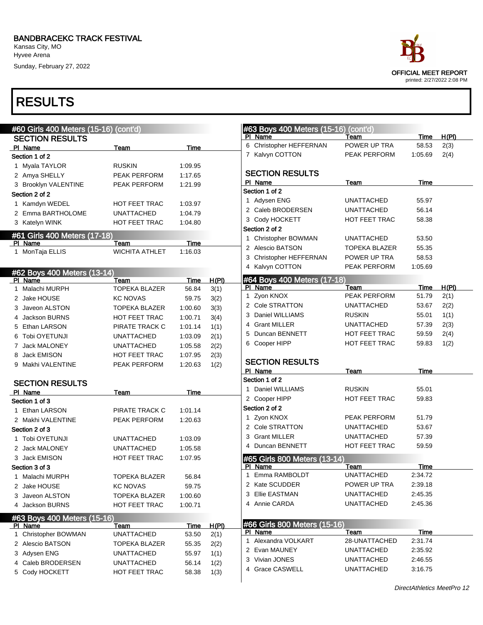Sunday, February 27, 2022



| #60 Girls 400 Meters (15-16) (cont'd)   |                       |             |       | #63 Boys 400 Meters (15-16) (cont'd)    |                       |             |       |
|-----------------------------------------|-----------------------|-------------|-------|-----------------------------------------|-----------------------|-------------|-------|
| <b>SECTION RESULTS</b>                  |                       |             |       | PI Name                                 | Team                  | Time        | H(PI) |
| PI Name                                 | <b>Team</b>           | <b>Time</b> |       | 6 Christopher HEFFERNAN                 | POWER UP TRA          | 58.53       | 2(3)  |
| Section 1 of 2                          |                       |             |       | 7 Kalvyn COTTON                         | PEAK PERFORM          | 1:05.69     | 2(4)  |
| 1 Myala TAYLOR                          | <b>RUSKIN</b>         | 1:09.95     |       |                                         |                       |             |       |
| 2 Amya SHELLY                           | PEAK PERFORM          | 1:17.65     |       | <b>SECTION RESULTS</b>                  |                       |             |       |
| 3 Brooklyn VALENTINE                    | PEAK PERFORM          | 1:21.99     |       | PI Name                                 | Team                  | Time        |       |
| Section 2 of 2                          |                       |             |       | Section 1 of 2                          |                       |             |       |
| 1 Kamdyn WEDEL                          | HOT FEET TRAC         | 1:03.97     |       | 1 Adysen ENG                            | <b>UNATTACHED</b>     | 55.97       |       |
| 2 Emma BARTHOLOME                       | <b>UNATTACHED</b>     | 1:04.79     |       | 2 Caleb BRODERSEN                       | <b>UNATTACHED</b>     | 56.14       |       |
| 3 Katelyn WINK                          | HOT FEET TRAC         | 1:04.80     |       | 3 Cody HOCKETT                          | <b>HOT FEET TRAC</b>  | 58.38       |       |
|                                         |                       |             |       | Section 2 of 2                          |                       |             |       |
| #61 Girls 400 Meters (17-18)<br>PI Name | Team                  | Time        |       | 1 Christopher BOWMAN                    | <b>UNATTACHED</b>     | 53.50       |       |
| 1 MonTaja ELLIS                         | <b>WICHITA ATHLET</b> | 1:16.03     |       | 2 Alescio BATSON                        | <b>TOPEKA BLAZER</b>  | 55.35       |       |
|                                         |                       |             |       | 3 Christopher HEFFERNAN                 | POWER UP TRA          | 58.53       |       |
|                                         |                       |             |       | 4 Kalvyn COTTON                         | PEAK PERFORM          | 1:05.69     |       |
| #62 Boys 400 Meters (13-14)<br>PI Name  | Team                  | Time        | H(PI) | #64 Boys 400 Meters (17-18)             |                       |             |       |
| 1 Malachi MURPH                         | <b>TOPEKA BLAZER</b>  | 56.84       | 3(1)  | PI Name                                 | Team                  | Time        | H(PI) |
| 2 Jake HOUSE                            | <b>KC NOVAS</b>       | 59.75       | 3(2)  | 1 Zyon KNOX                             | PEAK PERFORM          | 51.79       | 2(1)  |
| 3 Javeon ALSTON                         | <b>TOPEKA BLAZER</b>  | 1:00.60     | 3(3)  | 2 Cole STRATTON                         | <b>UNATTACHED</b>     | 53.67       | 2(2)  |
| 4 Jackson BURNS                         | <b>HOT FEET TRAC</b>  | 1:00.71     | 3(4)  | 3 Daniel WILLIAMS                       | <b>RUSKIN</b>         | 55.01       | 1(1)  |
| 5 Ethan LARSON                          | PIRATE TRACK C        | 1:01.14     | 1(1)  | 4 Grant MILLER                          | <b>UNATTACHED</b>     | 57.39       | 2(3)  |
| 6 Tobi OYETUNJI                         |                       |             |       | <b>Duncan BENNETT</b><br>5              | HOT FEET TRAC         | 59.59       | 2(4)  |
|                                         | <b>UNATTACHED</b>     | 1:03.09     | 2(1)  | 6 Cooper HIPP                           | HOT FEET TRAC         | 59.83       | 1(2)  |
| 7 Jack MALONEY                          | <b>UNATTACHED</b>     | 1:05.58     | 2(2)  |                                         |                       |             |       |
| 8 Jack EMISON                           | HOT FEET TRAC         | 1:07.95     | 2(3)  | <b>SECTION RESULTS</b>                  |                       |             |       |
| 9 Makhi VALENTINE                       | PEAK PERFORM          | 1:20.63     | 1(2)  | PI Name                                 | Team                  | Time        |       |
|                                         |                       |             |       | Section 1 of 2                          |                       |             |       |
| <b>SECTION RESULTS</b>                  |                       |             |       | 1 Daniel WILLIAMS                       | <b>RUSKIN</b>         | 55.01       |       |
| PI Name<br>Section 1 of 3               | Team                  | Time        |       | 2 Cooper HIPP                           | <b>HOT FEET TRAC</b>  | 59.83       |       |
| 1 Ethan LARSON                          | PIRATE TRACK C        | 1:01.14     |       | Section 2 of 2                          |                       |             |       |
| 2 Makhi VALENTINE                       | PEAK PERFORM          | 1:20.63     |       | 1 Zyon KNOX                             | PEAK PERFORM          | 51.79       |       |
| Section 2 of 3                          |                       |             |       | 2 Cole STRATTON                         | <b>UNATTACHED</b>     | 53.67       |       |
| 1 Tobi OYETUNJI                         | <b>UNATTACHED</b>     | 1:03.09     |       | 3 Grant MILLER                          | <b>UNATTACHED</b>     | 57.39       |       |
|                                         |                       |             |       | 4 Duncan BENNETT                        | HOT FEET TRAC         | 59.59       |       |
| 2 Jack MALONEY                          | <b>UNATTACHED</b>     | 1:05.58     |       |                                         |                       |             |       |
| 3 Jack EMISON                           | <b>HOT FEET TRAC</b>  | 1:07.95     |       | #65 Girls 800 Meters (13-14)<br>PI Name | Team                  | Time        |       |
| Section 3 of 3                          |                       |             |       | 1 Emma RAMBOLDT                         | <b>UNATTACHED</b>     | 2:34.72     |       |
| 1 Malachi MURPH                         | TOPEKA BLAZER         | 56.84       |       | 2 Kate SCUDDER                          | POWER UP TRA          | 2:39.18     |       |
| 2 Jake HOUSE                            | <b>KC NOVAS</b>       | 59.75       |       | 3 Ellie EASTMAN                         | UNATTACHED            | 2:45.35     |       |
| 3 Javeon ALSTON                         | <b>TOPEKA BLAZER</b>  | 1:00.60     |       | 4 Annie CARDA                           | UNATTACHED            | 2:45.36     |       |
| 4 Jackson BURNS                         | HOT FEET TRAC         | 1:00.71     |       |                                         |                       |             |       |
| #63 Boys 400 Meters (15-16)             |                       |             |       |                                         |                       |             |       |
| PI Name                                 | Team                  | <u>Time</u> | H(PI) | #66 Girls 800 Meters (15-16)            |                       | <b>Time</b> |       |
| 1 Christopher BOWMAN                    | <b>UNATTACHED</b>     | 53.50       | 2(1)  | PI Name<br>1 Alexandra VOLKART          | Team<br>28-UNATTACHED | 2:31.74     |       |
| 2 Alescio BATSON                        | <b>TOPEKA BLAZER</b>  | 55.35       | 2(2)  |                                         |                       |             |       |
| 3 Adysen ENG                            | <b>UNATTACHED</b>     | 55.97       | 1(1)  | 2 Evan MAUNEY<br>3 Vivian JONES         | <b>UNATTACHED</b>     | 2:35.92     |       |
| 4 Caleb BRODERSEN                       | <b>UNATTACHED</b>     | 56.14       | 1(2)  |                                         | UNATTACHED            | 2:46.55     |       |
| 5 Cody HOCKETT                          | HOT FEET TRAC         | 58.38       | 1(3)  | 4 Grace CASWELL                         | <b>UNATTACHED</b>     | 3:16.75     |       |
|                                         |                       |             |       |                                         |                       |             |       |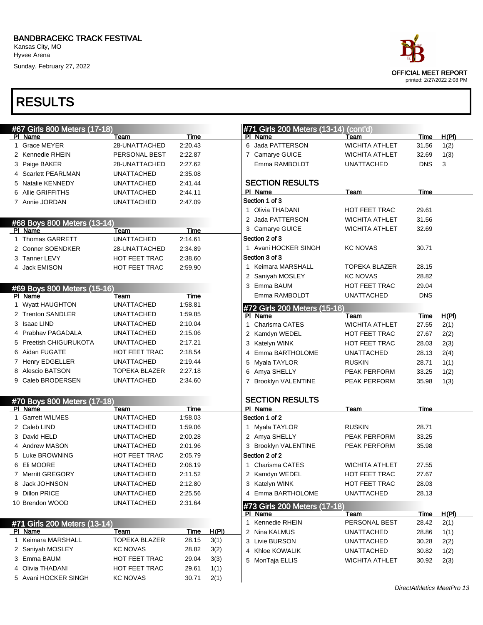Kansas City, MO Hyvee Arena

Sunday, February 27, 2022

| ace                        |
|----------------------------|
| OFFICIAL MEET REPORT       |
| printed: 2/27/2022 2:08 PM |

| #67 Girls 800 Meters (17-18) |                      |             |              | #71 Girls 200 Meters (13-14) (cont'd)   |                       |             |              |
|------------------------------|----------------------|-------------|--------------|-----------------------------------------|-----------------------|-------------|--------------|
| PI Name                      | Team                 | Time        |              | PI Name                                 | Team                  | Time        | H(PI)        |
| 1 Grace MEYER                | 28-UNATTACHED        | 2:20.43     |              | 6 Jada PATTERSON                        | <b>WICHITA ATHLET</b> | 31.56       | 1(2)         |
| 2 Kennedie RHEIN             | PERSONAL BEST        | 2:22.87     |              | 7 Camarye GUICE                         | <b>WICHITA ATHLET</b> | 32.69       | 1(3)         |
| 3 Paige BAKER                | 28-UNATTACHED        | 2:27.62     |              | Emma RAMBOLDT                           | <b>UNATTACHED</b>     | <b>DNS</b>  | 3            |
| 4 Scarlett PEARLMAN          | <b>UNATTACHED</b>    | 2:35.08     |              |                                         |                       |             |              |
| 5 Natalie KENNEDY            | <b>UNATTACHED</b>    | 2:41.44     |              | <b>SECTION RESULTS</b>                  |                       |             |              |
| 6 Allie GRIFFITHS            | <b>UNATTACHED</b>    | 2:44.11     |              | PI Name                                 | Team                  | Time        |              |
| 7 Annie JORDAN               | <b>UNATTACHED</b>    | 2:47.09     |              | Section 1 of 3                          |                       |             |              |
|                              |                      |             |              | 1 Olivia THADANI                        | HOT FEET TRAC         | 29.61       |              |
| #68 Boys 800 Meters (13-14)  |                      |             |              | 2 Jada PATTERSON                        | <b>WICHITA ATHLET</b> | 31.56       |              |
| PI Name                      | Team                 | Time        |              | 3 Camarye GUICE                         | <b>WICHITA ATHLET</b> | 32.69       |              |
| 1 Thomas GARRETT             | <b>UNATTACHED</b>    | 2:14.61     |              | Section 2 of 3                          |                       |             |              |
| 2 Conner SOENDKER            | 28-UNATTACHED        | 2:34.89     |              | 1 Avani HOCKER SINGH                    | <b>KC NOVAS</b>       | 30.71       |              |
| 3 Tanner LEVY                | HOT FEET TRAC        | 2:38.60     |              | Section 3 of 3                          |                       |             |              |
| 4 Jack EMISON                | HOT FEET TRAC        | 2:59.90     |              | 1 Keimara MARSHALL                      | <b>TOPEKA BLAZER</b>  | 28.15       |              |
|                              |                      |             |              | 2 Saniyah MOSLEY                        | <b>KC NOVAS</b>       | 28.82       |              |
| #69 Boys 800 Meters (15-16)  |                      |             |              | 3 Emma BAUM                             | HOT FEET TRAC         | 29.04       |              |
| PI Name                      | Team                 | Time        |              | Emma RAMBOLDT                           | <b>UNATTACHED</b>     | <b>DNS</b>  |              |
| 1 Wyatt HAUGHTON             | <b>UNATTACHED</b>    | 1:58.81     |              | #72 Girls 200 Meters (15-16)            |                       |             |              |
| 2 Trenton SANDLER            | <b>UNATTACHED</b>    | 1:59.85     |              | PI Name                                 | Team                  | Time        | H(PI)        |
| 3 Isaac LIND                 | <b>UNATTACHED</b>    | 2:10.04     |              | Charisma CATES                          | <b>WICHITA ATHLET</b> | 27.55       | 2(1)         |
| 4 Prabhav PAGADALA           | <b>UNATTACHED</b>    | 2:15.06     |              | 2 Kamdyn WEDEL                          | HOT FEET TRAC         | 27.67       | 2(2)         |
| 5 Preetish CHIGURUKOTA       | <b>UNATTACHED</b>    | 2:17.21     |              | 3 Katelyn WINK                          | <b>HOT FEET TRAC</b>  | 28.03       | 2(3)         |
| 6 Aidan FUGATE               | HOT FEET TRAC        | 2:18.54     |              | 4 Emma BARTHOLOME                       | <b>UNATTACHED</b>     | 28.13       | 2(4)         |
| 7 Henry EDGELLER             | <b>UNATTACHED</b>    | 2:19.44     |              | 5 Myala TAYLOR                          | <b>RUSKIN</b>         | 28.71       | 1(1)         |
| 8 Alescio BATSON             | <b>TOPEKA BLAZER</b> | 2:27.18     |              | 6 Amya SHELLY                           | PEAK PERFORM          | 33.25       | 1(2)         |
| 9 Caleb BRODERSEN            | <b>UNATTACHED</b>    | 2:34.60     |              | 7 Brooklyn VALENTINE                    | PEAK PERFORM          | 35.98       | 1(3)         |
| #70 Boys 800 Meters (17-18)  |                      |             |              | <b>SECTION RESULTS</b>                  |                       |             |              |
| PI Name                      | Team                 | Time        |              | PI Name                                 | Team                  | <b>Time</b> |              |
| 1 Garrett WILMES             | <b>UNATTACHED</b>    | 1:58.03     |              | Section 1 of 2                          |                       |             |              |
| 2 Caleb LIND                 | <b>UNATTACHED</b>    | 1:59.06     |              | 1 Myala TAYLOR                          | <b>RUSKIN</b>         | 28.71       |              |
| 3 David HELD                 | <b>UNATTACHED</b>    | 2:00.28     |              | 2 Amya SHELLY                           | PEAK PERFORM          | 33.25       |              |
| 4 Andrew MASON               | <b>UNATTACHED</b>    | 2:01.96     |              | 3 Brooklyn VALENTINE                    | PEAK PERFORM          | 35.98       |              |
| 5 Luke BROWNING              | HOT FEET TRAC        | 2:05.79     |              | Section 2 of 2                          |                       |             |              |
| 6 Eli MOORE                  | <b>UNATTACHED</b>    | 2:06.19     |              | 1 Charisma CATES                        | <b>WICHITA ATHLET</b> | 27.55       |              |
| 7 Merritt GREGORY            | <b>UNATTACHED</b>    | 2:11.52     |              | 2 Kamdyn WEDEL                          | HOT FEET TRAC         | 27.67       |              |
| 8 Jack JOHNSON               | <b>UNATTACHED</b>    | 2:12.80     |              | 3 Katelyn WINK                          | HOT FEET TRAC         | 28.03       |              |
| 9 Dillon PRICE               | <b>UNATTACHED</b>    | 2:25.56     |              | 4 Emma BARTHOLOME                       | <b>UNATTACHED</b>     | 28.13       |              |
| 10 Brendon WOOD              | <b>UNATTACHED</b>    | 2.31.64     |              |                                         |                       |             |              |
|                              |                      |             |              | #73 Girls 200 Meters (17-18)<br>PI Name | Team                  | Time        | <u>H(PI)</u> |
| #71 Girls 200 Meters (13-14) |                      |             |              | Kennedie RHEIN<br>1                     | PERSONAL BEST         | 28.42       | 2(1)         |
| PI Name                      | Team                 | <u>Time</u> | <u>H(PI)</u> | 2 Nina KALMUS                           | <b>UNATTACHED</b>     | 28.86       | 1(1)         |
| 1 Keimara MARSHALL           | <b>TOPEKA BLAZER</b> | 28.15       | 3(1)         | 3 Livie BURSON                          | <b>UNATTACHED</b>     | 30.28       | 2(2)         |
| 2 Saniyah MOSLEY             | <b>KC NOVAS</b>      | 28.82       | 3(2)         | 4 Khloe KOWALIK                         | <b>UNATTACHED</b>     | 30.82       | 1(2)         |
| 3 Emma BAUM                  | <b>HOT FEET TRAC</b> | 29.04       | 3(3)         | 5 MonTaja ELLIS                         | <b>WICHITA ATHLET</b> | 30.92       | 2(3)         |
| 4 Olivia THADANI             | HOT FEET TRAC        | 29.61       | 1(1)         |                                         |                       |             |              |
| 5 Avani HOCKER SINGH         | <b>KC NOVAS</b>      | 30.71       | 2(1)         |                                         |                       |             |              |
|                              |                      |             |              |                                         |                       |             |              |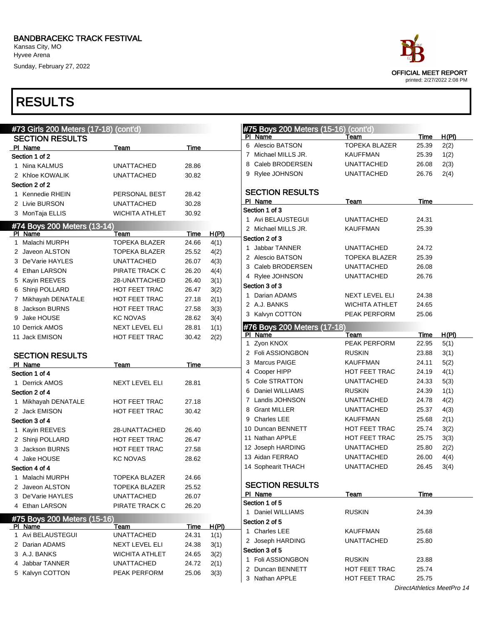Sunday, February 27, 2022



| #73 Girls 200 Meters (17-18) (cont'd) |                       |             |       | #75 Boys 200 Meters (15-16) (cont'd)     |                                      |                |                            |
|---------------------------------------|-----------------------|-------------|-------|------------------------------------------|--------------------------------------|----------------|----------------------------|
| <b>SECTION RESULTS</b>                |                       |             |       | PI Name                                  | Team                                 | Time           | H(PI)                      |
| PI Name                               | Team                  | Time        |       | 6 Alescio BATSON                         | <b>TOPEKA BLAZER</b>                 | 25.39          | 2(2)                       |
| Section 1 of 2                        |                       |             |       | 7 Michael MILLS JR.                      | <b>KAUFFMAN</b>                      | 25.39          | 1(2)                       |
| 1 Nina KALMUS                         | <b>UNATTACHED</b>     | 28.86       |       | 8 Caleb BRODERSEN                        | <b>UNATTACHED</b>                    | 26.08          | 2(3)                       |
| 2 Khloe KOWALIK                       | <b>UNATTACHED</b>     | 30.82       |       | 9 Rylee JOHNSON                          | <b>UNATTACHED</b>                    | 26.76          | 2(4)                       |
| Section 2 of 2                        |                       |             |       |                                          |                                      |                |                            |
| 1 Kennedie RHEIN                      | PERSONAL BEST         | 28.42       |       | <b>SECTION RESULTS</b>                   |                                      |                |                            |
| 2 Livie BURSON                        | <b>UNATTACHED</b>     | 30.28       |       | PI Name                                  | Team                                 | Time           |                            |
| 3 MonTaja ELLIS                       | <b>WICHITA ATHLET</b> | 30.92       |       | Section 1 of 3                           |                                      |                |                            |
| #74 Boys 200 Meters (13-14)           |                       |             |       | 1 Avi BELAUSTEGUI<br>2 Michael MILLS JR. | <b>UNATTACHED</b><br><b>KAUFFMAN</b> | 24.31<br>25.39 |                            |
| PI Name                               | Team                  | <b>Time</b> | H(PI) | Section 2 of 3                           |                                      |                |                            |
| 1 Malachi MURPH                       | <b>TOPEKA BLAZER</b>  | 24.66       | 4(1)  | 1 Jabbar TANNER                          | <b>UNATTACHED</b>                    | 24.72          |                            |
| 2 Javeon ALSTON                       | <b>TOPEKA BLAZER</b>  | 25.52       | 4(2)  | 2 Alescio BATSON                         | <b>TOPEKA BLAZER</b>                 | 25.39          |                            |
| 3 De'Varie HAYLES                     | <b>UNATTACHED</b>     | 26.07       | 4(3)  | 3 Caleb BRODERSEN                        | <b>UNATTACHED</b>                    | 26.08          |                            |
| 4 Ethan LARSON                        | PIRATE TRACK C        | 26.20       | 4(4)  |                                          |                                      |                |                            |
| 5 Kayin REEVES                        | 28-UNATTACHED         | 26.40       | 3(1)  | 4 Rylee JOHNSON                          | <b>UNATTACHED</b>                    | 26.76          |                            |
| 6 Shinji POLLARD                      | HOT FEET TRAC         | 26.47       | 3(2)  | Section 3 of 3                           | <b>NEXT LEVEL ELI</b>                |                |                            |
| 7 Mikhayah DENATALE                   | <b>HOT FEET TRAC</b>  | 27.18       | 2(1)  | 1 Darian ADAMS<br>2 A.J. BANKS           |                                      | 24.38          |                            |
| 8 Jackson BURNS                       | <b>HOT FEET TRAC</b>  | 27.58       | 3(3)  |                                          | <b>WICHITA ATHLET</b>                | 24.65          |                            |
| 9 Jake HOUSE                          | <b>KC NOVAS</b>       | 28.62       | 3(4)  | 3 Kalvyn COTTON                          | PEAK PERFORM                         | 25.06          |                            |
| 10 Derrick AMOS                       | NEXT LEVEL ELI        | 28.81       | 1(1)  | #76 Boys 200 Meters (17-18)              |                                      |                |                            |
| 11 Jack EMISON                        | <b>HOT FEET TRAC</b>  | 30.42       | 2(2)  | PI Name                                  | Team                                 | Time           | H(PI)                      |
|                                       |                       |             |       | 1 Zyon KNOX                              | PEAK PERFORM                         | 22.95          | 5(1)                       |
| <b>SECTION RESULTS</b>                |                       |             |       | 2 Foli ASSIONGBON                        | <b>RUSKIN</b>                        | 23.88          | 3(1)                       |
| PI Name                               | Team                  | Time        |       | 3 Marcus PAIGE                           | <b>KAUFFMAN</b>                      | 24.11          | 5(2)                       |
| Section 1 of 4                        |                       |             |       | 4 Cooper HIPP                            | HOT FEET TRAC                        | 24.19          | 4(1)                       |
| 1 Derrick AMOS                        | <b>NEXT LEVEL ELI</b> | 28.81       |       | 5 Cole STRATTON                          | <b>UNATTACHED</b>                    | 24.33          | 5(3)                       |
| Section 2 of 4                        |                       |             |       | Daniel WILLIAMS<br>6                     | <b>RUSKIN</b>                        | 24.39          | 1(1)                       |
| 1 Mikhayah DENATALE                   | <b>HOT FEET TRAC</b>  | 27.18       |       | 7 Landis JOHNSON                         | UNATTACHED                           | 24.78          | 4(2)                       |
| 2 Jack EMISON                         | <b>HOT FEET TRAC</b>  | 30.42       |       | 8 Grant MILLER                           | <b>UNATTACHED</b>                    | 25.37          | 4(3)                       |
| Section 3 of 4                        |                       |             |       | 9 Charles LEE                            | <b>KAUFFMAN</b>                      | 25.68          | 2(1)                       |
| 1 Kayin REEVES                        | 28-UNATTACHED         | 26.40       |       | 10 Duncan BENNETT                        | HOT FEET TRAC                        | 25.74          | 3(2)                       |
| 2 Shinji POLLARD                      | <b>HOT FEET TRAC</b>  | 26.47       |       | 11 Nathan APPLE                          | HOT FEET TRAC                        | 25.75          | 3(3)                       |
| 3 Jackson BURNS                       | <b>HOT FEET TRAC</b>  | 27.58       |       | 12 Joseph HARDING                        | <b>UNATTACHED</b>                    | 25.80          | 2(2)                       |
| 4 Jake HOUSE                          | <b>KC NOVAS</b>       | 28.62       |       | 13 Aidan FERRAO                          | <b>UNATTACHED</b>                    | 26.00          | 4(4)                       |
| Section 4 of 4                        |                       |             |       | 14 Sophearit THACH                       | UNATTACHED                           | 26.45          | 3(4)                       |
| 1 Malachi MURPH                       | <b>TOPEKA BLAZER</b>  | 24.66       |       |                                          |                                      |                |                            |
| 2 Javeon ALSTON                       | <b>TOPEKA BLAZER</b>  | 25.52       |       | <b>SECTION RESULTS</b>                   |                                      |                |                            |
| 3 De'Varie HAYLES                     | <b>UNATTACHED</b>     | 26.07       |       | PI Name                                  | Team                                 | <b>Time</b>    |                            |
| 4 Ethan LARSON                        | PIRATE TRACK C        | 26.20       |       | Section 1 of 5                           |                                      |                |                            |
| #75 Boys 200 Meters (15-16)           |                       |             |       | 1 Daniel WILLIAMS                        | <b>RUSKIN</b>                        | 24.39          |                            |
| PI Name                               | Team                  | <b>Time</b> | H(PI) | Section 2 of 5                           |                                      |                |                            |
| 1 Avi BELAUSTEGUI                     | <b>UNATTACHED</b>     | 24.31       | 1(1)  | 1 Charles LEE                            | KAUFFMAN                             | 25.68          |                            |
| 2 Darian ADAMS                        | NEXT LEVEL ELI        | 24.38       | 3(1)  | 2 Joseph HARDING                         | UNATTACHED                           | 25.80          |                            |
| 3 A.J. BANKS                          | <b>WICHITA ATHLET</b> | 24.65       | 3(2)  | Section 3 of 5                           |                                      |                |                            |
| 4 Jabbar TANNER                       | <b>UNATTACHED</b>     | 24.72       | 2(1)  | 1 Foli ASSIONGBON                        | <b>RUSKIN</b>                        | 23.88          |                            |
| 5 Kalvyn COTTON                       | PEAK PERFORM          | 25.06       | 3(3)  | 2 Duncan BENNETT                         | HOT FEET TRAC                        | 25.74          |                            |
|                                       |                       |             |       | 3 Nathan APPLE                           | HOT FEET TRAC                        | 25.75          |                            |
|                                       |                       |             |       |                                          |                                      |                | DirectAthletics MeetPro 14 |